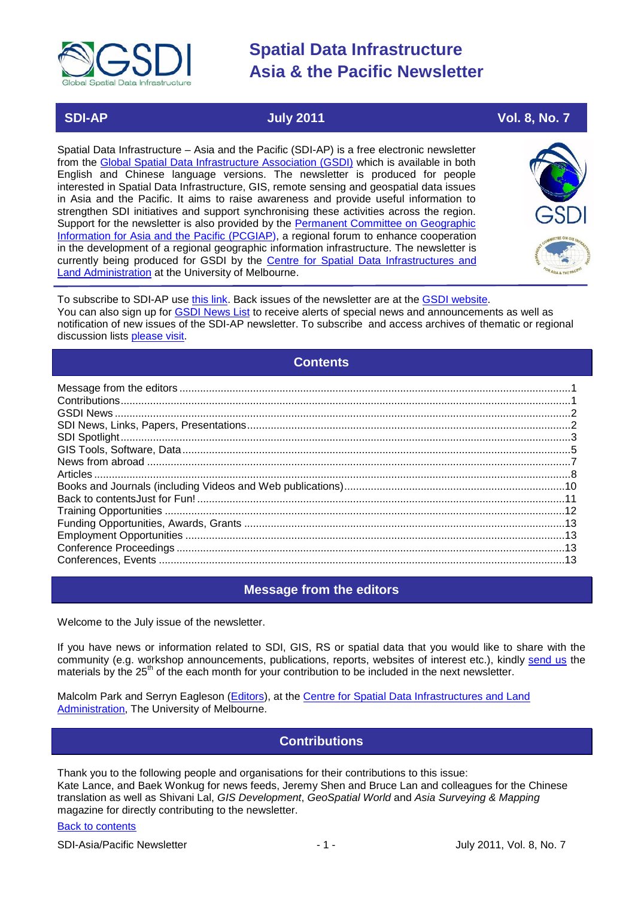

## **SDI-AP July 2011 Vol. 8, No. 7**

Spatial Data Infrastructure – Asia and the Pacific (SDI-AP) is a free electronic newsletter from the [Global Spatial Data Infrastructure Association \(GSDI\)](http://www.gsdi.org/) which is available in both English and Chinese language versions. The newsletter is produced for people interested in Spatial Data Infrastructure, GIS, remote sensing and geospatial data issues in Asia and the Pacific. It aims to raise awareness and provide useful information to strengthen SDI initiatives and support synchronising these activities across the region. Support for the newsletter is also provided by the Permanent Committee on Geographic [Information for Asia and the Pacific \(PCGIAP\)](http://www.pcgiap.org/), a regional forum to enhance cooperation in the development of a regional geographic information infrastructure. The newsletter is currently being produced for GSDI by the [Centre for Spatial Data Infrastructures and](http://www.csdila.unimelb.edu.au/)  [Land Administration](http://www.csdila.unimelb.edu.au/) at the University of Melbourne.



To subscribe to SDI-AP use [this link.](http://www.gsdi.org/newslist/gsdisubscribe.asp) Back issues of the newsletter are at the [GSDI website.](http://www.gsdi.org/newsletters.asp) You can also sign up for **GSDI News List** to receive alerts of special news and announcements as well as notification of new issues of the SDI-AP newsletter. To subscribe and access archives of thematic or regional discussion lists [please visit.](http://www.gsdi.org/discussionlists.asp)

## **Contents**

<span id="page-0-0"></span>

## **Message from the editors**

<span id="page-0-1"></span>Welcome to the July issue of the newsletter.

If you have news or information related to SDI, GIS, RS or spatial data that you would like to share with the community (e.g. workshop announcements, publications, reports, websites of interest etc.), kindly [send us](mailto:.SDI-AP@gsdi.org) the materials by the 25<sup>th</sup> of the each month for your contribution to be included in the next newsletter.

<span id="page-0-2"></span>Malcolm Park and Serryn Eagleson [\(Editors\)](mailto:Editor.SDIAP@gmail.com), at the [Centre for Spatial Data Infrastructures and Land](http://www.csdila.unimelb.edu.au/)  [Administration,](http://www.csdila.unimelb.edu.au/) The University of Melbourne.

## **Contributions**

Thank you to the following people and organisations for their contributions to this issue: Kate Lance, and Baek Wonkug for news feeds, Jeremy Shen and Bruce Lan and colleagues for the Chinese translation as well as Shivani Lal, *GIS Development*, *GeoSpatial World* and *Asia Surveying & Mapping* magazine for directly contributing to the newsletter.

## [Back to contents](#page-0-0)

SDI-Asia/Pacific Newsletter 1992 1 - 1 - 1 - July 2011, Vol. 8, No. 7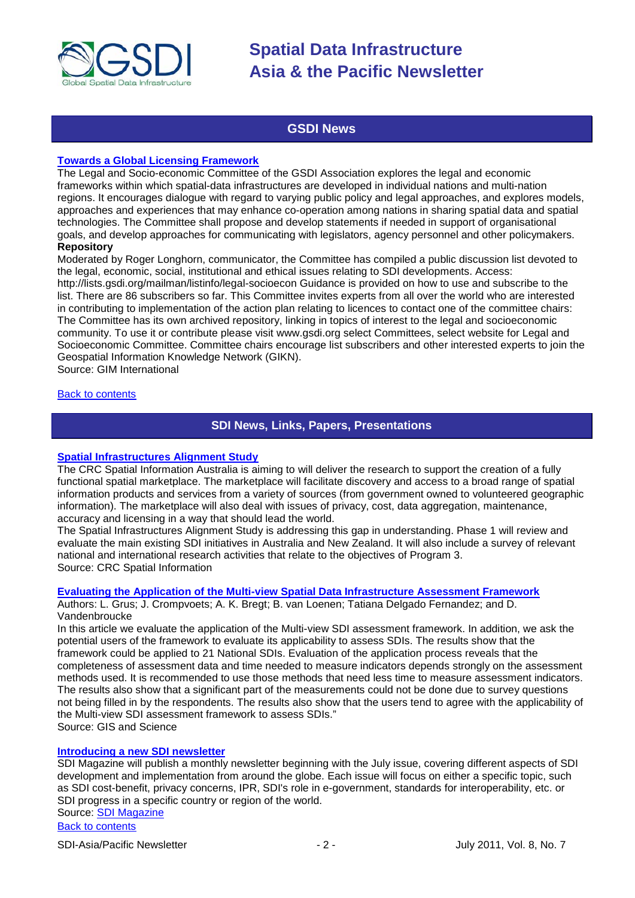

## **GSDI News**

### <span id="page-1-0"></span>**[Towards a Global Licensing Framework](http://www.gim-international.com/issues/articles/id1745-Towards_a_Global_Licensing_Framework.html)**

The Legal and Socio-economic Committee of the GSDI Association explores the legal and economic frameworks within which spatial-data infrastructures are developed in individual nations and multi-nation regions. It encourages dialogue with regard to varying public policy and legal approaches, and explores models, approaches and experiences that may enhance co-operation among nations in sharing spatial data and spatial technologies. The Committee shall propose and develop statements if needed in support of organisational goals, and develop approaches for communicating with legislators, agency personnel and other policymakers. **Repository**

Moderated by Roger Longhorn, communicator, the Committee has compiled a public discussion list devoted to the legal, economic, social, institutional and ethical issues relating to SDI developments. Access: http://lists.gsdi.org/mailman/listinfo/legal-socioecon Guidance is provided on how to use and subscribe to the list. There are 86 subscribers so far. This Committee invites experts from all over the world who are interested in contributing to implementation of the action plan relating to licences to contact one of the committee chairs: The Committee has its own archived repository, linking in topics of interest to the legal and socioeconomic community. To use it or contribute please visit www.gsdi.org select Committees, select website for Legal and Socioeconomic Committee. Committee chairs encourage list subscribers and other interested experts to join the

Geospatial Information Knowledge Network (GIKN).

Source: GIM International

## <span id="page-1-1"></span>[Back to contents](#page-0-0)

## **SDI News, Links, Papers, Presentations**

#### **[Spatial Infrastructures Alignment Study](http://www.crcsi.com.au/Research/Program-3/SDI-Alignment-Study)**

The CRC Spatial Information Australia is aiming to will deliver the research to support the creation of a fully functional spatial marketplace. The marketplace will facilitate discovery and access to a broad range of spatial information products and services from a variety of sources (from government owned to volunteered geographic information). The marketplace will also deal with issues of privacy, cost, data aggregation, maintenance, accuracy and licensing in a way that should lead the world.

The Spatial Infrastructures Alignment Study is addressing this gap in understanding. Phase 1 will review and evaluate the main existing SDI initiatives in Australia and New Zealand. It will also include a survey of relevant national and international research activities that relate to the objectives of Program 3. Source: CRC Spatial Information

#### **[Evaluating the Application of the Multi-view Spatial Data Infrastructure Assessment Framework](http://gisandscience.com/2011/06/24/evaluating-the-application-of-the-multi-view-spatial-data-infrastructure-assessment-framework/)**

Authors: L. Grus; J. Crompvoets; A. K. Bregt; B. van Loenen; Tatiana Delgado Fernandez; and D. Vandenbroucke

In this article we evaluate the application of the Multi-view SDI assessment framework. In addition, we ask the potential users of the framework to evaluate its applicability to assess SDIs. The results show that the framework could be applied to 21 National SDIs. Evaluation of the application process reveals that the completeness of assessment data and time needed to measure indicators depends strongly on the assessment methods used. It is recommended to use those methods that need less time to measure assessment indicators. The results also show that a significant part of the measurements could not be done due to survey questions not being filled in by the respondents. The results also show that the users tend to agree with the applicability of the Multi-view SDI assessment framework to assess SDIs." Source: GIS and Science

## **[Introducing a new SDI newsletter](http://www.sdimag.com/2011060782/news/newsletter/introducing-the-newsletter.html)**

SDI Magazine will publish a monthly newsletter beginning with the July issue, covering different aspects of SDI development and implementation from around the globe. Each issue will focus on either a specific topic, such as SDI cost-benefit, privacy concerns, IPR, SDI's role in e-government, standards for interoperability, etc. or SDI progress in a specific country or region of the world. Source: [SDI Magazine](http://www.sdimag.com/Newsletter/)

[Back to contents](#page-0-0)

SDI-Asia/Pacific Newsletter  $\sim$  2 - July 2011, Vol. 8, No. 7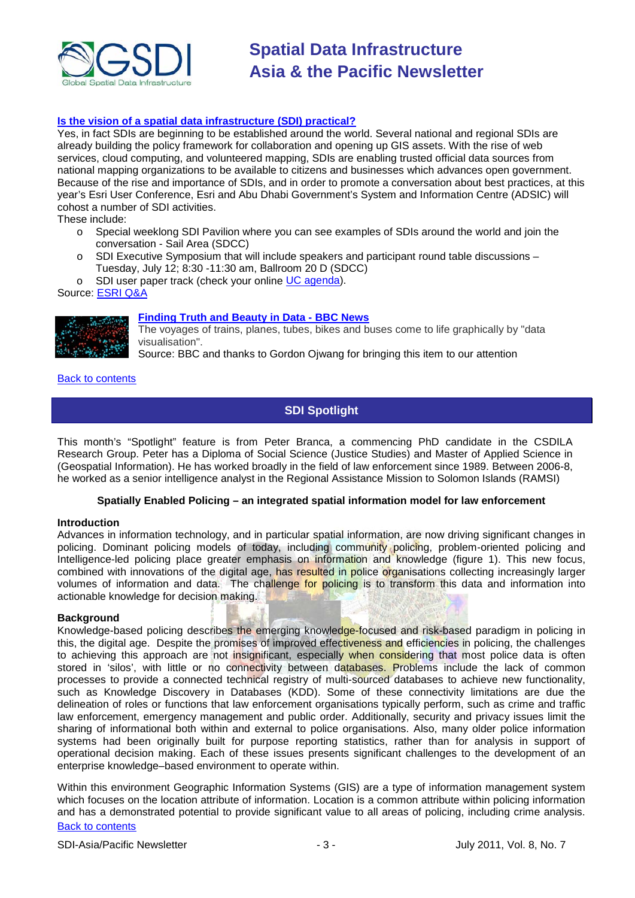

### **[Is the vision of a spatial data infrastructure \(SDI\) practical?](http://events.esri.com/uc/QandA/index.cfm?fuseaction=answer&conferenceId=DD02CFE7-1422-2418-7F271831F47A7A31&questionId=3859)**

Yes, in fact SDIs are beginning to be established around the world. Several national and regional SDIs are already building the policy framework for collaboration and opening up GIS assets. With the rise of web services, cloud computing, and volunteered mapping, SDIs are enabling trusted official data sources from national mapping organizations to be available to citizens and businesses which advances open government. Because of the rise and importance of SDIs, and in order to promote a conversation about best practices, at this year's Esri User Conference, Esri and Abu Dhabi Government's System and Information Centre (ADSIC) will cohost a number of SDI activities.

These include:

- o Special weeklong SDI Pavilion where you can see examples of SDIs around the world and join the conversation - Sail Area (SDCC)
- o SDI Executive Symposium that will include speakers and participant round table discussions Tuesday, July 12; 8:30 -11:30 am, Ballroom 20 D (SDCC)
- o SDI user paper track (check your online [UC agenda\)](http://events.esri.com/uc/2011/infoweb/onlineagenda/?fa=ofg_search_form).

Source: [ESRI Q&A](http://events.esri.com/uc/QandA/index.cfm?fuseaction=answer&conferenceId=DD02CFE7-1422-2418-7F271831F47A7A31&questionId=3859)



**[Finding Truth and Beauty in Data -](http://www.bbc.co.uk/news/technology-13947771) BBC News**

The voyages of trains, planes, tubes, bikes and buses come to life graphically by "data visualisation".

Source: BBC and thanks to Gordon Ojwang for bringing this item to our attention

<span id="page-2-0"></span>**[Back to contents](#page-0-0)** 

## **SDI Spotlight**

This month's "Spotlight" feature is from Peter Branca, a commencing PhD candidate in the CSDILA Research Group. Peter has a Diploma of Social Science (Justice Studies) and Master of Applied Science in (Geospatial Information). He has worked broadly in the field of law enforcement since 1989. Between 2006-8, he worked as a senior intelligence analyst in the Regional Assistance Mission to Solomon Islands (RAMSI)

#### **Spatially Enabled Policing – an integrated spatial information model for law enforcement**

#### **Introduction**

Advances in information technology, and in particular spatial information, are now driving significant changes in policing. Dominant policing models of today, including community policing, problem-oriented policing and Intelligence-led policing place greater emphasis on information and knowledge (figure 1). This new focus, combined with innovations of the digital age, has resulted in police organisations collecting increasingly larger volumes of information and data. The challenge for policing is to transform this data and information into actionable knowledge for decision making.

#### **Background**

Knowledge-based policing describes the emerging knowledge-focused and risk-based paradigm in policing in this, the digital age. Despite the promises of improved effectiveness and efficiencies in policing, the challenges to achieving this approach are not insignificant, especially when considering that most police data is often stored in 'silos', with little or no connectivity between databases. Problems include the lack of common processes to provide a connected technical registry of multi-sourced databases to achieve new functionality, such as Knowledge Discovery in Databases (KDD). Some of these connectivity limitations are due the delineation of roles or functions that law enforcement organisations typically perform, such as crime and traffic law enforcement, emergency management and public order. Additionally, security and privacy issues limit the sharing of informational both within and external to police organisations. Also, many older police information systems had been originally built for purpose reporting statistics, rather than for analysis in support of operational decision making. Each of these issues presents significant challenges to the development of an enterprise knowledge–based environment to operate within.

[Back to contents](#page-0-0) Within this environment Geographic Information Systems (GIS) are a type of information management system which focuses on the location attribute of information. Location is a common attribute within policing information and has a demonstrated potential to provide significant value to all areas of policing, including crime analysis.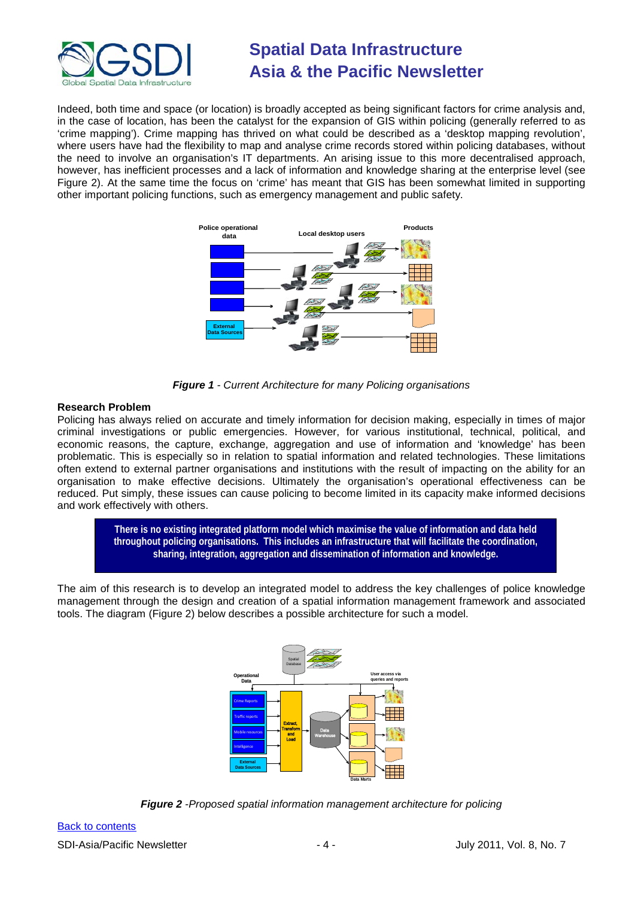

Indeed, both time and space (or location) is broadly accepted as being significant factors for crime analysis and, in the case of location, has been the catalyst for the expansion of GIS within policing (generally referred to as 'crime mapping'). Crime mapping has thrived on what could be described as a 'desktop mapping revolution', where users have had the flexibility to map and analyse crime records stored within policing databases, without the need to involve an organisation's IT departments. An arising issue to this more decentralised approach, however, has inefficient processes and a lack of information and knowledge sharing at the enterprise level (see [Figure 2\)](#page-3-0). At the same time the focus on 'crime' has meant that GIS has been somewhat limited in supporting other important policing functions, such as emergency management and public safety.





## **Research Problem**

Policing has always relied on accurate and timely information for decision making, especially in times of major criminal investigations or public emergencies. However, for various institutional, technical, political, and economic reasons, the capture, exchange, aggregation and use of information and 'knowledge' has been problematic. This is especially so in relation to spatial information and related technologies. These limitations often extend to external partner organisations and institutions with the result of impacting on the ability for an organisation to make effective decisions. Ultimately the organisation's operational effectiveness can be reduced. Put simply, these issues can cause policing to become limited in its capacity make informed decisions and work effectively with others.



The aim of this research is to develop an integrated model to address the key challenges of police knowledge management through the design and creation of a spatial information management framework and associated tools. The diagram [\(Figure 2\)](#page-3-0) below describes a possible architecture for such a model.



<span id="page-3-0"></span>*Figure 2 -Proposed spatial information management architecture for policing*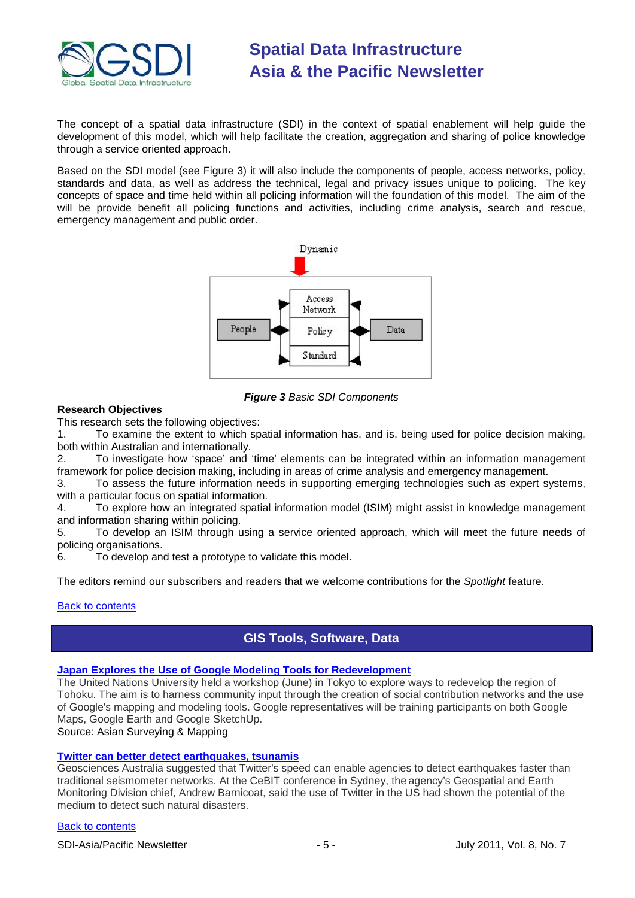

The concept of a spatial data infrastructure (SDI) in the context of spatial enablement will help guide the development of this model, which will help facilitate the creation, aggregation and sharing of police knowledge through a service oriented approach.

Based on the SDI model (see [Figure 3\)](#page-4-1) it will also include the components of people, access networks, policy, standards and data, as well as address the technical, legal and privacy issues unique to policing. The key concepts of space and time held within all policing information will the foundation of this model. The aim of the will be provide benefit all policing functions and activities, including crime analysis, search and rescue, emergency management and public order.



*Figure 3 Basic SDI Components*

### <span id="page-4-1"></span>**Research Objectives**

This research sets the following objectives:

1. To examine the extent to which spatial information has, and is, being used for police decision making, both within Australian and internationally.<br>2. To investigate how 'space' and '

2. To investigate how 'space' and 'time' elements can be integrated within an information management framework for police decision making, including in areas of crime analysis and emergency management.

3. To assess the future information needs in supporting emerging technologies such as expert systems, with a particular focus on spatial information.

4. To explore how an integrated spatial information model (ISIM) might assist in knowledge management and information sharing within policing.

5. To develop an ISIM through using a service oriented approach, which will meet the future needs of policing organisations.<br>6. To develop and

To develop and test a prototype to validate this model.

The editors remind our subscribers and readers that we welcome contributions for the *Spotlight* feature.

## <span id="page-4-0"></span>[Back to contents](#page-0-0)

## **GIS Tools, Software, Data**

## **[Japan Explores the Use of Google Modeling Tools for Redevelopment](http://www.asmmag.com/features/feature/japan-turns-to-google-mapping-and-modeling-tools-to-assist-redevelopment-24061626)**

The United Nations University held a workshop (June) in Tokyo to explore ways to redevelop the region of Tohoku. The aim is to harness community input through the creation of social contribution networks and the use of Google's mapping and modeling tools. Google representatives will be training participants on both Google Maps, Google Earth and Google SketchUp.

Source: Asian Surveying & Mapping

## **[Twitter can better detect earthquakes, tsunamis](http://www.geospatialworld.net/index.php?option=com_content&view=article&id=22327%3Atwitter-can-better-detect-earthquakes-tsunamis&catid=53%3Aapplication-natural-hazard-management&Itemid=1)**

Geosciences Australia suggested that Twitter's speed can enable agencies to detect earthquakes faster than traditional seismometer networks. At the CeBIT conference in Sydney, the agency's Geospatial and Earth Monitoring Division chief, Andrew Barnicoat, said the use of Twitter in the US had shown the potential of the medium to detect such natural disasters.

## [Back to contents](#page-0-0)

SDI-Asia/Pacific Newsletter  $\sim$  5 -  $\sim$  5 - July 2011, Vol. 8, No. 7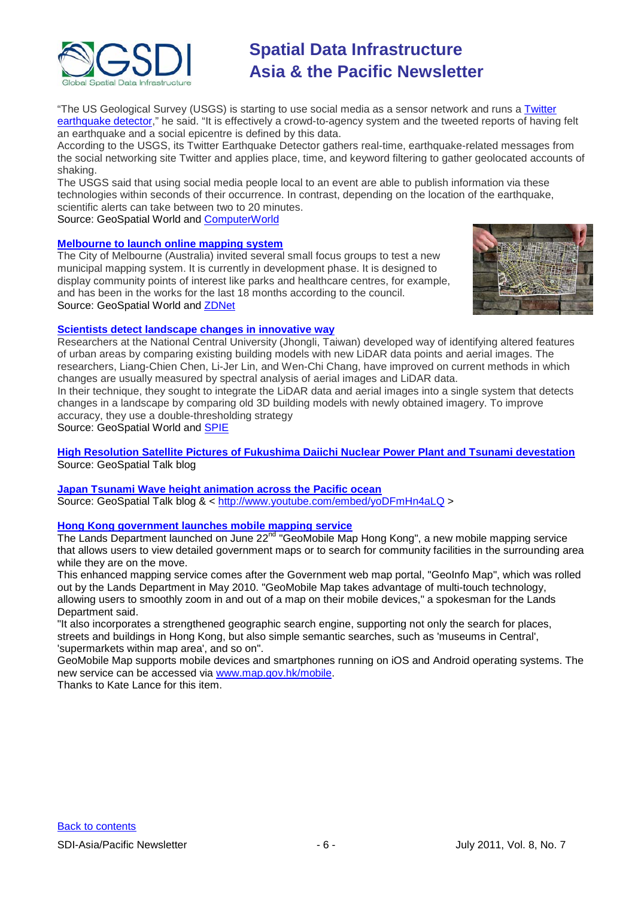

"The US Geological Survey (USGS) is starting to use social media as a sensor network and runs a Twitter [earthquake detector,](http://recovery.doi.gov/press/us-geological-survey-twitter-earthquake-detector-ted/)" he said. "It is effectively a crowd-to-agency system and the tweeted reports of having felt an earthquake and a social epicentre is defined by this data.

According to the USGS, its Twitter Earthquake Detector gathers real-time, earthquake-related messages from the social networking site Twitter and applies place, time, and keyword filtering to gather geolocated accounts of shaking.

The USGS said that using social media people local to an event are able to publish information via these technologies within seconds of their occurrence. In contrast, depending on the location of the earthquake, scientific alerts can take between two to 20 minutes.

Source: GeoSpatial World and [ComputerWorld](http://www.computerworld.com.au/article/388585/cebit_2011_twitter_detect_earthquakes_tsunamis/?fp=4&fpid=18)

## **[Melbourne to launch online mapping system](http://www.geospatialworld.net/index.php?option=com_content&view=article&id=22302%3Amelbourne-to-launch-online-mapping-system&catid=54%3Aapplication-urban-planning&Itemid=1)**

The City of Melbourne (Australia) invited several small focus groups to test a new municipal mapping system. It is currently in development phase. It is designed to display community points of interest like parks and healthcare centres, for example, and has been in the works for the last 18 months according to the council. Source: GeoSpatial World and [ZDNet](http://www.zdnet.com.au/melb-council-in-online-mapping-project-339315818.htm)



## **[Scientists detect landscape changes in innovative way](http://www.geospatialworld.net/index.php?option=com_content&view=article&id=22282%3Ascientists-detect-landscape-changes-in-innovative-way&catid=66%3Aapplication-miscellaneous&Itemid=1)**

Researchers at the National Central University (Jhongli, Taiwan) developed way of identifying altered features of urban areas by comparing existing building models with new LiDAR data points and aerial images. The researchers, Liang-Chien Chen, Li-Jer Lin, and Wen-Chi Chang, have improved on current methods in which changes are usually measured by spectral analysis of aerial images and LiDAR data.

In their technique, they sought to integrate the LiDAR data and aerial images into a single system that detects changes in a landscape by comparing old 3D building models with newly obtained imagery. To improve accuracy, they use a double-thresholding strategy

Source: GeoSpatial World and [SPIE](http://spie.org/x48223.xml?ArticleID=x48223)

**[High Resolution Satellite Pictures of Fukushima Daiichi Nuclear Power Plant and Tsunami devestation](http://blog.joesonic.com/2011/03/high-resolution-satellite-pictures-of.html)** Source: GeoSpatial Talk blog

**[Japan Tsunami Wave height animation across the Pacific ocean](http://blog.joesonic.com/2011/03/japan-tsunami-wave-height-animation.html)** Source: GeoSpatial Talk blog & <<http://www.youtube.com/embed/yoDFmHn4aLQ> >

## **[Hong Kong government launches mobile mapping service](http://www.info.gov.hk/gia/general/201106/22/P201106220335.htm)**

The Lands Department launched on June 22<sup>nd</sup> "GeoMobile Map Hong Kong", a new mobile mapping service that allows users to view detailed government maps or to search for community facilities in the surrounding area while they are on the move.

This enhanced mapping service comes after the Government web map portal, "GeoInfo Map", which was rolled out by the Lands Department in May 2010. "GeoMobile Map takes advantage of multi-touch technology, allowing users to smoothly zoom in and out of a map on their mobile devices," a spokesman for the Lands Department said.

"It also incorporates a strengthened geographic search engine, supporting not only the search for places, streets and buildings in Hong Kong, but also simple semantic searches, such as 'museums in Central', 'supermarkets within map area', and so on".

GeoMobile Map supports mobile devices and smartphones running on iOS and Android operating systems. The new service can be accessed via [www.map.gov.hk/mobile.](http://www.map.gov.hk/mobile)

Thanks to Kate Lance for this item.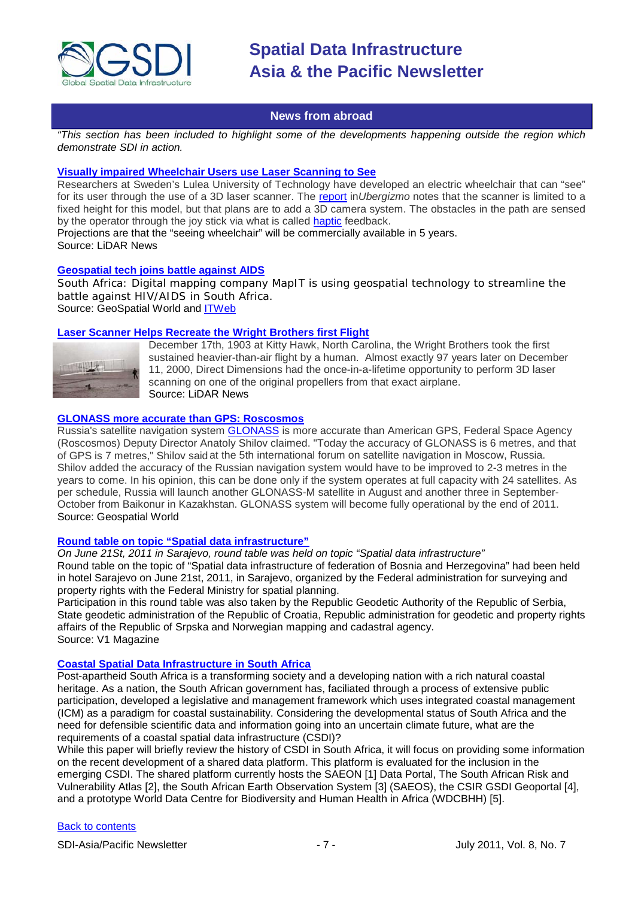

## **News from abroad**

<span id="page-6-0"></span>*"This section has been included to highlight some of the developments happening outside the region which demonstrate SDI in action.*

## **[Visually impaired Wheelchair Users use Laser Scanning to See](http://blog.lidarnews.com/wheelchair-users-laser-scanning)**

Researchers at Sweden's Lulea University of Technology have developed an electric wheelchair that can "see" for its user through the use of a 3D laser scanner. The [report](http://www.ubergizmo.com/2011/05/wheelchair-laser-scanner/) in Ubergizmo notes that the scanner is limited to a fixed height for this model, but that plans are to add a 3D camera system. The obstacles in the path are sensed by the operator through the joy stick via what is called [haptic](http://en.wikipedia.org/wiki/Haptic_technology) feedback.

Projections are that the "seeing wheelchair" will be commercially available in 5 years. Source: LiDAR News

#### **[Geospatial tech joins battle against AIDS](http://geospatialworld.net/index.php?option=com_content&view=article&id=22393%3Ageospatial-tech-joins-battle-against-aids&catid=56%3Aapplication-health&Itemid=1&pagetype=newssearch)**

South Africa: Digital mapping company MapIT is using geospatial technology to streamline the battle against HIV/AIDS in South Africa. Source: GeoSpatial World and [ITWeb](http://www.itweb.co.za/index.php?option=com_content&view=article&id=44459:tech-joins-battle-against-hiv&catid=160)

### **[Laser Scanner Helps Recreate the Wright Brothers first Flight](http://www.lidarnews.com/content/view/8363/)**



December 17th, 1903 at Kitty Hawk, North Carolina, the Wright Brothers took the first sustained heavier-than-air flight by a human. Almost exactly 97 years later on December 11, 2000, Direct Dimensions had the once-in-a-lifetime opportunity to perform 3D laser scanning on one of the original propellers from that exact airplane. Source: LiDAR News

## **[GLONASS more accurate than GPS: Roscosmos](http://geospatialworld.net/index.php?option=com_content&view=article&id=22339%3Aglonass-more-accurate-than-gps-roscosmos&catid=61%3Aapplication-transportation-navigation&Itemid=1)**

Russia's satellite navigation system [GLONASS](http://geospatialworld.net/index.php?option=com_content&view=article&id=22335:glonass-to-provide-global-coverage-by-year-end&catid=61&Itemid=1) is more accurate than American GPS, Federal Space Agency (Roscosmos) Deputy Director Anatoly Shilov claimed. "Today the accuracy of GLONASS is 6 metres, and that of GPS is 7 metres," Shilov said at the 5th international forum on satellite navigation in Moscow, Russia. Shilov added the accuracy of the Russian navigation system would have to be improved to 2-3 metres in the years to come. In his opinion, this can be done only if the system operates at full capacity with 24 satellites. As per schedule, Russia will launch another GLONASS-M satellite in August and another three in September-October from Baikonur in Kazakhstan. GLONASS system will become fully operational by the end of 2011. Source: Geospatial World

#### **[Round table on topic "Spatial data infrastructure"](http://www.rgz.gov.rs/template1a.asp?PageName=2011_06_24_02&LanguageID=3)**

*On June 21St, 2011 in Sarajevo, round table was held on topic "Spatial data infrastructure"*

Round table on the topic of "Spatial data infrastructure of federation of Bosnia and Herzegovina" had been held in hotel Sarajevo on June 21st, 2011, in Sarajevo, organized by the Federal administration for surveying and property rights with the Federal Ministry for spatial planning.

Participation in this round table was also taken by the Republic Geodetic Authority of the Republic of Serbia, State geodetic administration of the Republic of Croatia, Republic administration for geodetic and property rights affairs of the Republic of Srpska and Norwegian mapping and cadastral agency. Source: V1 Magazine

#### **[Coastal Spatial Data Infrastructure in South Africa](http://www.sdimag.com/projects/africa/coastal-spatial-data-infrastructure-in-south-africa.html)**

Post-apartheid South Africa is a transforming society and a developing nation with a rich natural coastal heritage. As a nation, the South African government has, faciliated through a process of extensive public participation, developed a legislative and management framework which uses integrated coastal management (ICM) as a paradigm for coastal sustainability. Considering the developmental status of South Africa and the need for defensible scientific data and information going into an uncertain climate future, what are the requirements of a coastal spatial data infrastructure (CSDI)?

While this paper will briefly review the history of CSDI in South Africa, it will focus on providing some information on the recent development of a shared data platform. This platform is evaluated for the inclusion in the emerging CSDI. The shared platform currently hosts the SAEON [1] Data Portal, The South African Risk and Vulnerability Atlas [2], the South African Earth Observation System [3] (SAEOS), the CSIR GSDI Geoportal [4], and a prototype World Data Centre for Biodiversity and Human Health in Africa (WDCBHH) [5].

### [Back to contents](#page-0-0)

SDI-Asia/Pacific Newsletter  $\begin{array}{ccc} -7 & - & \end{array}$  July 2011, Vol. 8, No. 7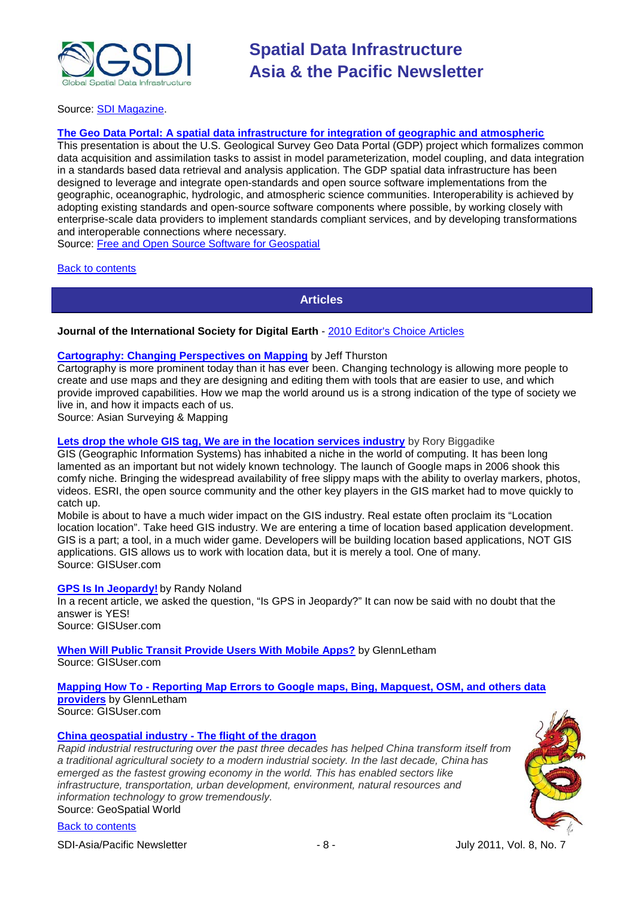

Source: [SDI Magazine.](http://www.sdimag.com/)

### **[The Geo Data Portal: A spatial data infrastructure for integration of geographic and atmospheric](http://2011.foss4g.org/sessions/geo-data-portal-spatial-data-infrastructure-integration-geographic-and-atmospheric)**

This presentation is about the U.S. Geological Survey Geo Data Portal (GDP) project which formalizes common data acquisition and assimilation tasks to assist in model parameterization, model coupling, and data integration in a standards based data retrieval and analysis application. The GDP spatial data infrastructure has been designed to leverage and integrate open-standards and open source software implementations from the geographic, oceanographic, hydrologic, and atmospheric science communities. Interoperability is achieved by adopting existing standards and open-source software components where possible, by working closely with enterprise-scale data providers to implement standards compliant services, and by developing transformations and interoperable connections where necessary.

Source: [Free and Open Source Software for Geospatial](http://2011.foss4g.org/)

<span id="page-7-0"></span>[Back to contents](#page-0-0)

**Articles**

#### **Journal of the International Society for Digital Earth** - [2010 Editor's Choice Articles](http://www.digitalearth-isde.org/newsletter0629/ISDE%2520Newsletter/editor%27s%2520choice.pdf)

### **[Cartography: Changing Perspectives on Mapping](http://www.asmmag.com/features/feature/cartography-changing-perspectives-on-mapping-22061627)** by Jeff Thurston

Cartography is more prominent today than it has ever been. Changing technology is allowing more people to create and use maps and they are designing and editing them with tools that are easier to use, and which provide improved capabilities. How we map the world around us is a strong indication of the type of society we live in, and how it impacts each of us.

Source: Asian Surveying & Mapping

## **[Lets drop the whole GIS tag, We are in the location services industry](http://www.gisuser.com/content/view/23710/222/)** by Rory Biggadike

GIS (Geographic Information Systems) has inhabited a niche in the world of computing. It has been long lamented as an important but not widely known technology. The launch of Google maps in 2006 shook this comfy niche. Bringing the widespread availability of free slippy maps with the ability to overlay markers, photos, videos. ESRI, the open source community and the other key players in the GIS market had to move quickly to catch up.

Mobile is about to have a much wider impact on the GIS industry. Real estate often proclaim its "Location location location". Take heed GIS industry. We are entering a time of location based application development. GIS is a part; a tool, in a much wider game. Developers will be building location based applications, NOT GIS applications. GIS allows us to work with location data, but it is merely a tool. One of many. Source: GISUser.com

#### **[GPS Is In Jeopardy!](http://www.gisuser.com/content/view/23699/28/)** by Randy Noland

In a recent article, we asked the question, "Is GPS in Jeopardy?" It can now be said with no doubt that the answer is YES! Source: GISUser.com

**[When Will Public Transit Provide Users With Mobile Apps?](http://www.gisuser.com/content/view/22787/222/)** by GlennLetham

Source: GISUser.com

**Mapping How To - [Reporting Map Errors to Google maps, Bing, Mapquest, OSM, and others data](http://www.gisuser.com/content/view/23066/222/)  [providers](http://www.gisuser.com/content/view/23066/222/)** by GlennLetham

Source: GISUser.com

## **[China geospatial industry -](http://www.geospatialworld.net/index.php?option=com_content&view=article&id=22107) The flight of the dragon**

*Rapid industrial restructuring over the past three decades has helped China transform itself from a traditional agricultural society to a modern industrial society. In the last decade, China has emerged as the fastest growing economy in the world. This has enabled sectors like infrastructure, transportation, urban development, environment, natural resources and information technology to grow tremendously.* Source: GeoSpatial World

[Back to contents](#page-0-0)

SDI-Asia/Pacific Newsletter  $\begin{array}{ccc} - & 8 \\ - & - \end{array}$  -  $\begin{array}{ccc} - & - \end{array}$  July 2011, Vol. 8, No. 7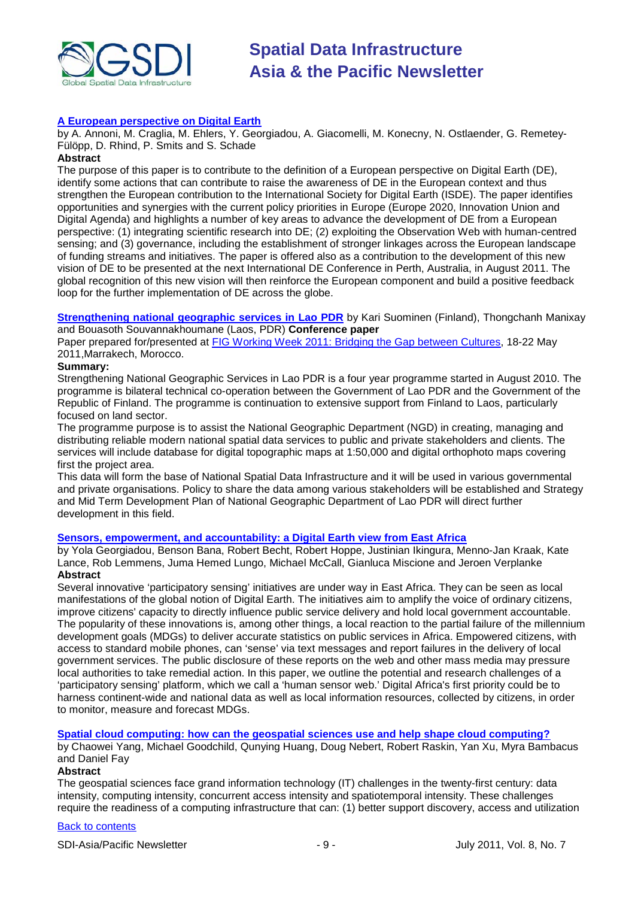

## **[A European perspective on Digital Earth](http://www.tandfonline.com/doi/abs/10.1080/17538947.2011.582888)**

by A. Annoni, M. Craglia, M. Ehlers, Y. Georgiadou, A. Giacomelli, M. Konecny, N. Ostlaender, G. Remetey-Fülöpp, D. Rhind, P. Smits and S. Schade

#### **Abstract**

The purpose of this paper is to contribute to the definition of a European perspective on Digital Earth (DE), identify some actions that can contribute to raise the awareness of DE in the European context and thus strengthen the European contribution to the International Society for Digital Earth (ISDE). The paper identifies opportunities and synergies with the current policy priorities in Europe (Europe 2020, Innovation Union and Digital Agenda) and highlights a number of key areas to advance the development of DE from a European perspective: (1) integrating scientific research into DE; (2) exploiting the Observation Web with human-centred sensing; and (3) governance, including the establishment of stronger linkages across the European landscape of funding streams and initiatives. The paper is offered also as a contribution to the development of this new vision of DE to be presented at the next International DE Conference in Perth, Australia, in August 2011. The global recognition of this new vision will then reinforce the European component and build a positive feedback loop for the further implementation of DE across the globe.

**[Strengthening national geographic services in Lao PDR](http://77.243.131.160/pub/fig2011/papers/ts05c/ts05c_suominen_manixay_et_al_5298.pdf)** by Kari Suominen (Finland), Thongchanh Manixay and Bouasoth Souvannakhoumane (Laos, PDR) **Conference paper**

Paper prepared for/presented at [FIG Working Week 2011: Bridging the Gap between Cultures,](http://77.243.131.160/pub/fig2011/techprog.htm) 18-22 May 2011,Marrakech, Morocco.

### **Summary:**

Strengthening National Geographic Services in Lao PDR is a four year programme started in August 2010. The programme is bilateral technical co-operation between the Government of Lao PDR and the Government of the Republic of Finland. The programme is continuation to extensive support from Finland to Laos, particularly focused on land sector.

The programme purpose is to assist the National Geographic Department (NGD) in creating, managing and distributing reliable modern national spatial data services to public and private stakeholders and clients. The services will include database for digital topographic maps at 1:50,000 and digital orthophoto maps covering first the project area.

This data will form the base of National Spatial Data Infrastructure and it will be used in various governmental and private organisations. Policy to share the data among various stakeholders will be established and Strategy and Mid Term Development Plan of National Geographic Department of Lao PDR will direct further development in this field.

#### **[Sensors, empowerment, and accountability: a Digital Earth view from East Africa](http://www.tandfonline.com/doi/abs/10.1080/17538947.2011.585184)**

by Yola Georgiadou, Benson Bana, Robert Becht, Robert Hoppe, Justinian Ikingura, Menno-Jan Kraak, Kate Lance, Rob Lemmens, Juma Hemed Lungo, Michael McCall, Gianluca Miscione and Jeroen Verplanke **Abstract**

Several innovative 'participatory sensing' initiatives are under way in East Africa. They can be seen as local manifestations of the global notion of Digital Earth. The initiatives aim to amplify the voice of ordinary citizens, improve citizens' capacity to directly influence public service delivery and hold local government accountable. The popularity of these innovations is, among other things, a local reaction to the partial failure of the millennium development goals (MDGs) to deliver accurate statistics on public services in Africa. Empowered citizens, with access to standard mobile phones, can 'sense' via text messages and report failures in the delivery of local government services. The public disclosure of these reports on the web and other mass media may pressure local authorities to take remedial action. In this paper, we outline the potential and research challenges of a 'participatory sensing' platform, which we call a 'human sensor web.' Digital Africa's first priority could be to harness continent-wide and national data as well as local information resources, collected by citizens, in order to monitor, measure and forecast MDGs.

**[Spatial cloud computing: how can the geospatial sciences use and help shape cloud computing?](http://www.tandfonline.com/doi/abs/10.1080/17538947.2011.587547)**

by Chaowei Yang, Michael Goodchild, Qunying Huang, Doug Nebert, Robert Raskin, Yan Xu, Myra Bambacus and Daniel Fay

### **Abstract**

The geospatial sciences face grand information technology (IT) challenges in the twenty-first century: data intensity, computing intensity, concurrent access intensity and spatiotemporal intensity. These challenges require the readiness of a computing infrastructure that can: (1) better support discovery, access and utilization

### [Back to contents](#page-0-0)

SDI-Asia/Pacific Newsletter  $-9 -$  - 9 -  $-$  July 2011, Vol. 8, No. 7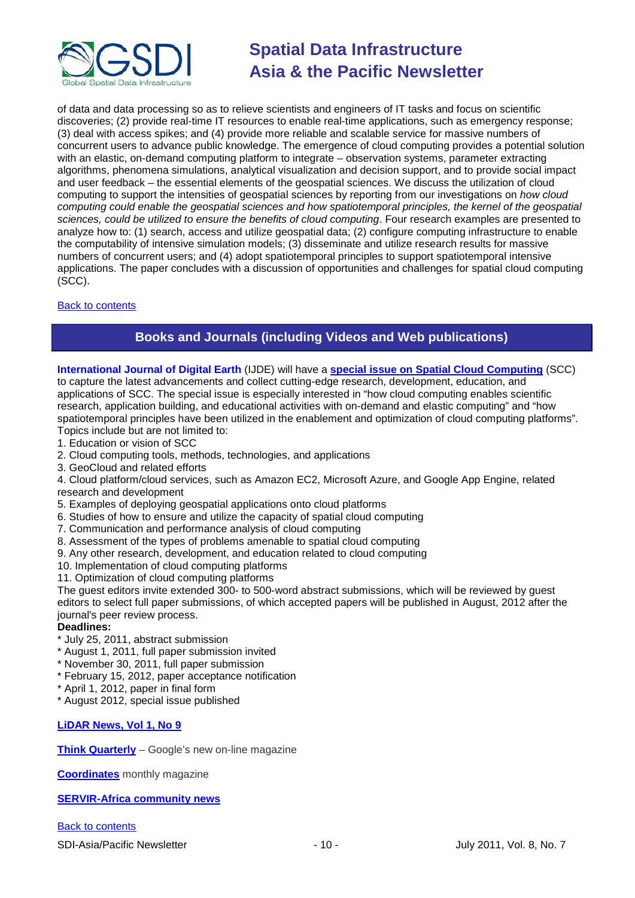

of data and data processing so as to relieve scientists and engineers of IT tasks and focus on scientific discoveries; (2) provide real-time IT resources to enable real-time applications, such as emergency response; (3) deal with access spikes; and (4) provide more reliable and scalable service for massive numbers of concurrent users to advance public knowledge. The emergence of cloud computing provides a potential solution with an elastic, on-demand computing platform to integrate – observation systems, parameter extracting algorithms, phenomena simulations, analytical visualization and decision support, and to provide social impact and user feedback – the essential elements of the geospatial sciences. We discuss the utilization of cloud computing to support the intensities of geospatial sciences by reporting from our investigations on *how cloud computing could enable the geospatial sciences and how spatiotemporal principles, the kernel of the geospatial sciences, could be utilized to ensure the benefits of cloud computing*. Four research examples are presented to analyze how to: (1) search, access and utilize geospatial data; (2) configure computing infrastructure to enable the computability of intensive simulation models; (3) disseminate and utilize research results for massive numbers of concurrent users; and (4) adopt spatiotemporal principles to support spatiotemporal intensive applications. The paper concludes with a discussion of opportunities and challenges for spatial cloud computing (SCC).

## <span id="page-9-0"></span>[Back to contents](#page-0-0)

## **Books and Journals (including Videos and Web publications)**

**International Journal of Digital Earth** (IJDE) will have a **[special issue on Spatial Cloud Computing](http://www.digitalearth-isde.org/news/Call%20for%20Papers-IJDE%20to%20publish%20special%20issue%20on%20Spatial%20Cloud%20Computing.html)** (SCC) to capture the latest advancements and collect cutting-edge research, development, education, and applications of SCC. The special issue is especially interested in "how cloud computing enables scientific research, application building, and educational activities with on-demand and elastic computing" and "how spatiotemporal principles have been utilized in the enablement and optimization of cloud computing platforms". Topics include but are not limited to:

- 1. Education or vision of SCC
- 2. Cloud computing tools, methods, technologies, and applications
- 3. GeoCloud and related efforts
- 4. Cloud platform/cloud services, such as Amazon EC2, Microsoft Azure, and Google App Engine, related research and development
- 5. Examples of deploying geospatial applications onto cloud platforms
- 6. Studies of how to ensure and utilize the capacity of spatial cloud computing
- 7. Communication and performance analysis of cloud computing
- 8. Assessment of the types of problems amenable to spatial cloud computing
- 9. Any other research, development, and education related to cloud computing
- 10. Implementation of cloud computing platforms
- 11. Optimization of cloud computing platforms

The guest editors invite extended 300- to 500-word abstract submissions, which will be reviewed by guest editors to select full paper submissions, of which accepted papers will be published in August, 2012 after the journal's peer review process.

## **Deadlines:**

- \* July 25, 2011, abstract submission
- \* August 1, 2011, full paper submission invited
- \* November 30, 2011, full paper submission
- \* February 15, 2012, paper acceptance notification
- \* April 1, 2012, paper in final form
- \* August 2012, special issue published

## **[LiDAR News, Vol 1, No 9](http://www.lidarnews.com/newsletter/Vol1No9.htm)**

**[Think Quarterly](http://thinkquarterly.co.uk/#aboutthebook)** – Google's new on-line magazine

**[Coordinates](http://mycoordinates.org/pdf/june11.pdf)** monthly magazine

**[SERVIR-Africa community news](http://www.servirglobal.net/africa/en/News/CommunityNews.aspx)**

[Back to contents](#page-0-0)

SDI-Asia/Pacific Newsletter  $-10 -$  - 10 - July 2011, Vol. 8, No. 7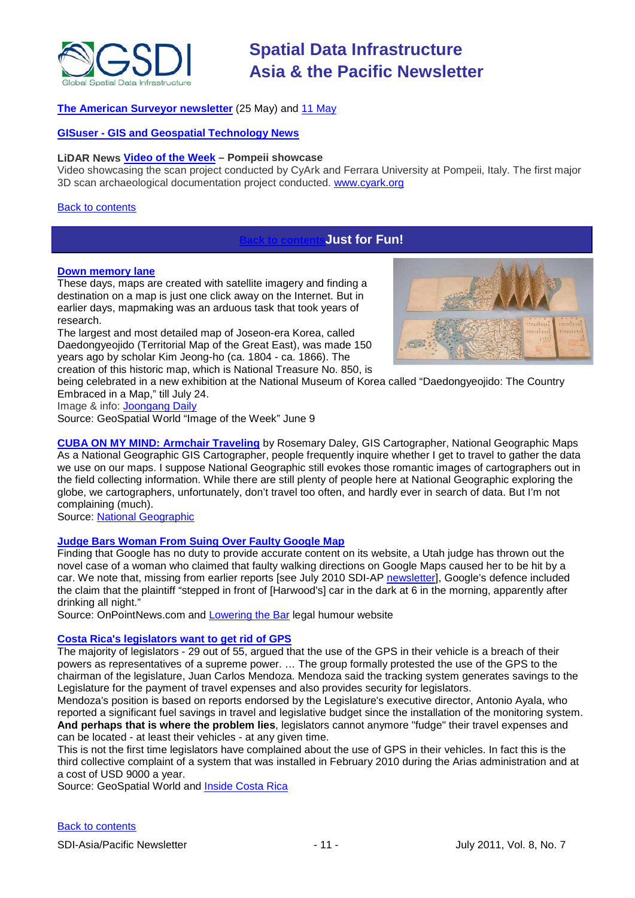

## **[The American Surveyor newsletter](http://www.amerisurv.com/newsletter/25MAY2011.htm)** (25 May) and [11 May](http://www.amerisurv.com/newsletter/11MAY2011.htm)

## **GISuser - [GIS and Geospatial Technology News](http://www.gisuser.com/)**

## **LiDAR News [Video of the Week](http://www.lidarnews.com/content/view/8380/192/) – Pompeii showcase**

Video showcasing the scan project conducted by CyArk and Ferrara University at Pompeii, Italy. The first major 3D scan archaeological documentation project conducted. [www.cyark.org](http://www.cyark.org/)

#### [Back to contents](#page-0-0)

## <span id="page-10-0"></span>**Just for Fun!**

#### **[Down memory lane](http://geospatialworld.net/index.php?option=com_imageoftheweek&view=managetemplate&id=36&Itemid=139&year=2011)**

These days, maps are created with satellite imagery and finding a destination on a map is just one click away on the Internet. But in earlier days, mapmaking was an arduous task that took years of research.

The largest and most detailed map of Joseon-era Korea, called Daedongyeojido (Territorial Map of the Great East), was made 150 years ago by scholar Kim Jeong-ho (ca. 1804 - ca. 1866). The creation of this historic map, which is National Treasure No. 850, is



being celebrated in a new exhibition at the National Museum of Korea called "Daedongyeojido: The Country Embraced in a Map," till July 24.

Image & info: [Joongang Daily](http://joongangdaily.joins.com/article/view.asp?aid=2935892)

Source: GeoSpatial World "Image of the Week" June 9

**[CUBA ON MY MIND: Armchair Traveling](http://newswatch.nationalgeographic.com/2011/06/07/cuba-on-my-mind-armchair-traveling/)** by Rosemary Daley, GIS Cartographer, National Geographic Maps As a National Geographic GIS Cartographer, people frequently inquire whether I get to travel to gather the data we use on our maps. I suppose National Geographic still evokes those romantic images of cartographers out in the field collecting information. While there are still plenty of people here at National Geographic exploring the globe, we cartographers, unfortunately, don't travel too often, and hardly ever in search of data. But I'm not complaining (much).

Source: [National Geographic](http://www.nationalgeographic.com/)

#### **[Judge Bars Woman From Suing Over Faulty Google Map](http://www.onpointnews.com/NEWS/Judge-Bars-Woman-From-Suing-Over-Faulty-Google-Map.html)**

Finding that Google has no duty to provide accurate content on its website, a Utah judge has thrown out the novel case of a woman who claimed that faulty walking directions on Google Maps caused her to be hit by a car. We note that, missing from earlier reports [see July 2010 SDI-AP [newsletter\]](http://www.gsdi.org/newsletters), Google's defence included the claim that the plaintiff "stepped in front of [Harwood's] car in the dark at 6 in the morning, apparently after drinking all night."

Source: OnPointNews.com and [Lowering the Bar](http://www.loweringthebar.net/2011/06/judge-dismisses-case-of-the-google-walking-directions.html) legal humour website

#### **[Costa Rica's legislators want to get rid of GPS](http://geospatialworld.net/index.php?option=com_content&view=article&id=22353%3Acosta-ricas-legislators-want-to-get-rid-of-gps&catid=78%3Amiscellaneous-policy&Itemid=1&pagetype=newssearch)**

The majority of legislators - 29 out of 55, argued that the use of the GPS in their vehicle is a breach of their powers as representatives of a supreme power. … The group formally protested the use of the GPS to the chairman of the legislature, Juan Carlos Mendoza. Mendoza said the tracking system generates savings to the Legislature for the payment of travel expenses and also provides security for legislators.

Mendoza's position is based on reports endorsed by the Legislature's executive director, Antonio Ayala, who reported a significant fuel savings in travel and legislative budget since the installation of the monitoring system. **And perhaps that is where the problem lies**, legislators cannot anymore "fudge" their travel expenses and can be located - at least their vehicles - at any given time.

This is not the first time legislators have complained about the use of GPS in their vehicles. In fact this is the third collective complaint of a system that was installed in February 2010 during the Arias administration and at a cost of USD 9000 a year.

Source: GeoSpatial World and **Inside Costa Rica**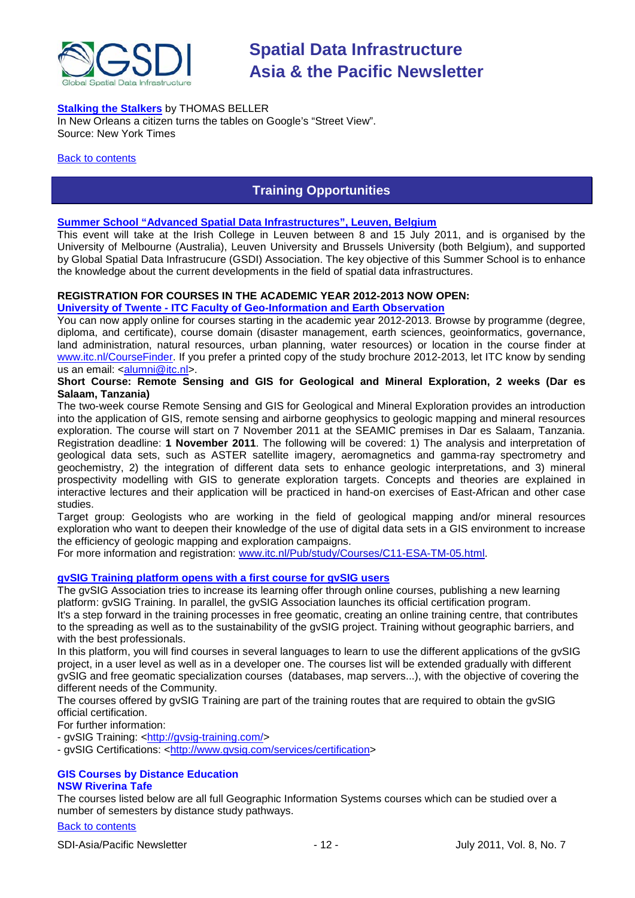

## **[Stalking the Stalkers](http://www.nytimes.com/2011/06/26/magazine/lives-tailing-the-google-street-car.html)** by THOMAS BELLER

In New Orleans a citizen turns the tables on Google's "Street View". Source: New York Times

#### <span id="page-11-0"></span>**[Back to contents](#page-0-0)**

## **Training Opportunities**

#### **[Summer School "Advanced Spatial Data Infrastructures", Leuven, Belgium](http://www.spatialist.be/201101-school/index.htm)**

This event will take at the Irish College in Leuven between 8 and 15 July 2011, and is organised by the University of Melbourne (Australia), Leuven University and Brussels University (both Belgium), and supported by Global Spatial Data Infrastrucure (GSDI) Association. The key objective of this Summer School is to enhance the knowledge about the current developments in the field of spatial data infrastructures.

### **REGISTRATION FOR COURSES IN THE ACADEMIC YEAR 2012-2013 NOW OPEN:**

#### **University of Twente - ITC Faculty of Geo-Information and Earth Observation**

You can now apply online for courses starting in the academic year 2012-2013. Browse by programme (degree, diploma, and certificate), course domain (disaster management, earth sciences, geoinformatics, governance, land administration, natural resources, urban planning, water resources) or location in the course finder at [www.itc.nl/CourseFinder.](http://www.itc.nl/CourseFinder) If you prefer a printed copy of the study brochure 2012-2013, let ITC know by sending us an email: [<alumni@itc.nl>](mailto:alumni@itc.nl).

## **Short Course: Remote Sensing and GIS for Geological and Mineral Exploration, 2 weeks (Dar es Salaam, Tanzania)**

The two-week course Remote Sensing and GIS for Geological and Mineral Exploration provides an introduction into the application of GIS, remote sensing and airborne geophysics to geologic mapping and mineral resources exploration. The course will start on 7 November 2011 at the SEAMIC premises in Dar es Salaam, Tanzania. Registration deadline: **1 November 2011**. The following will be covered: 1) The analysis and interpretation of geological data sets, such as ASTER satellite imagery, aeromagnetics and gamma-ray spectrometry and geochemistry, 2) the integration of different data sets to enhance geologic interpretations, and 3) mineral prospectivity modelling with GIS to generate exploration targets. Concepts and theories are explained in interactive lectures and their application will be practiced in hand-on exercises of East-African and other case studies.

Target group: Geologists who are working in the field of geological mapping and/or mineral resources exploration who want to deepen their knowledge of the use of digital data sets in a GIS environment to increase the efficiency of geologic mapping and exploration campaigns.

For more information and registration: [www.itc.nl/Pub/study/Courses/C11-ESA-TM-05.html.](http://www.itc.nl/Pub/study/Courses/C11-ESA-TM-05.html)

## **gvSIG Training platform opens with a first course for gvSIG users**

The gvSIG Association tries to increase its learning offer through online courses, publishing a new learning platform: gvSIG Training. In parallel, the gvSIG Association launches its official certification program. It's a step forward in the training processes in free geomatic, creating an online training centre, that contributes to the spreading as well as to the sustainability of the gvSIG project. Training without geographic barriers, and with the best professionals.

In this platform, you will find courses in several languages to learn to use the different applications of the gvSIG project, in a user level as well as in a developer one. The courses list will be extended gradually with different gvSIG and free geomatic specialization courses (databases, map servers...), with the objective of covering the different needs of the Community.

The courses offered by gvSIG Training are part of the training routes that are required to obtain the gvSIG official certification.

For further information:

- gvSIG Training: [<http://gvsig-training.com/>](http://gvsig-training.com/)

- gvSIG Certifications: [<http://www.gvsig.com/services/certification>](http://www.gvsig.com/services/certification)

### **GIS Courses by Distance Education NSW Riverina Tafe**

The courses listed below are all full Geographic Information Systems courses which can be studied over a number of semesters by distance study pathways.

## [Back to contents](#page-0-0)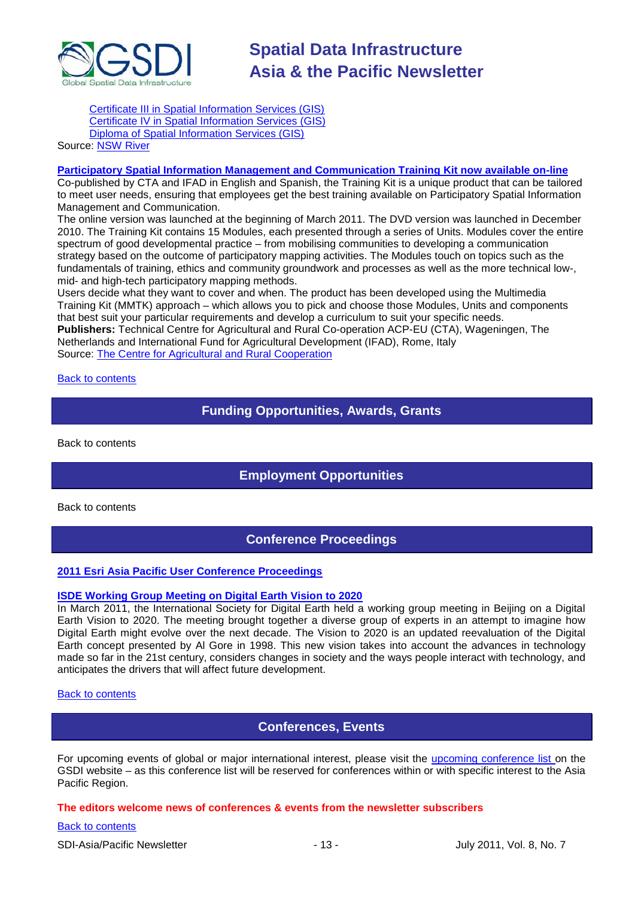

[Certificate III in Spatial Information Services \(GIS\)](http://www.rit.tafensw.edu.au/nec/nrme/giscourses#Cert III in Spatial Information Services (CPP30109)) [Certificate IV in Spatial Information Services \(GIS\)](http://www.rit.tafensw.edu.au/nec/nrme/giscourses#Cert IV in Spatial Information Services (CPP40209)) [Diploma of Spatial Information Services \(GIS\)](http://www.rit.tafensw.edu.au/nec/nrme/giscourses#Diploma of Spatial Information Services (CPP50207))

## Sourc[e: NSW River](http://www.rit.tafensw.edu.au/nec/nrme/giscourses)

#### **[Participatory Spatial Information Management and Communication Training Kit now available on-line](http://www.cta.int/en/About-us/CTA-news/Participatory-Spatial-Information-Management-and-Communication-Training-Kit-now-available-on-line)**

Co-published by CTA and IFAD in English and Spanish, the Training Kit is a unique product that can be tailored to meet user needs, ensuring that employees get the best training available on Participatory Spatial Information Management and Communication.

The [online version](http://pgis-tk.cta.int/) was launched at the beginning of March 2011. The DVD version was launched in December 2010. The Training Kit contains 15 Modules, each presented through a series of Units. Modules cover the entire spectrum of good developmental practice – from mobilising communities to developing a communication strategy based on the outcome of participatory mapping activities. The Modules touch on topics such as the fundamentals of training, ethics and community groundwork and processes as well as the more technical low-, mid- and high-tech participatory mapping methods.

Users decide what they want to cover and when. The product has been developed using the Multimedia Training Kit (MMTK) approach – which allows you to pick and choose those Modules, Units and components that best suit your particular requirements and develop a curriculum to suit your specific needs. **Publishers:** Technical Centre for Agricultural and Rural Co-operation ACP-EU (CTA), Wageningen, The Netherlands and International Fund for Agricultural Development (IFAD), Rome, Italy Source: [The Centre for Agricultural and Rural Cooperation](http://www.cta.int/en/About-us/Who-we-are)

<span id="page-12-0"></span>**[Back to contents](#page-0-0)** 

## **Funding Opportunities, Awards, Grants**

<span id="page-12-1"></span>[Back to contents](#page-0-0)

## **Employment Opportunities**

<span id="page-12-2"></span>[Back to contents](#page-0-0)

## **Conference Proceedings**

#### **[2011 Esri Asia Pacific User Conference Proceedings](http://www.geodata.com.ph/index.php?option=com_content&view=article&id=226:2011-apuc-proceedings&catid=45:new-a-events)**

#### **[ISDE Working Group Meeting on Digital Earth Vision to 2020](http://www.digitalearth-isde.org/news/Digital%20Earth%20Vision%20to%202020.html)**

In March 2011, the International Society for Digital Earth held a working group meeting in Beijing on a Digital Earth Vision to 2020. The meeting brought together a diverse group of experts in an attempt to imagine how Digital Earth might evolve over the next decade. The Vision to 2020 is an updated reevaluation of the Digital Earth concept presented by Al Gore in 1998. This new vision takes into account the advances in technology made so far in the 21st century, considers changes in society and the ways people interact with technology, and anticipates the drivers that will affect future development.

### <span id="page-12-3"></span>[Back to contents](#page-0-0)

## **Conferences, Events**

For upcoming events of global or major international interest, please visit the [upcoming conference list o](http://gsdi.org/events/upcnf.asp)n the GSDI website – as this conference list will be reserved for conferences within or with specific interest to the Asia Pacific Region.

#### **The editors welcome news of conferences & events from the newsletter subscribers**

#### [Back to contents](#page-0-0)

SDI-Asia/Pacific Newsletter  $-$  13 -  $-$  13 - July 2011, Vol. 8, No. 7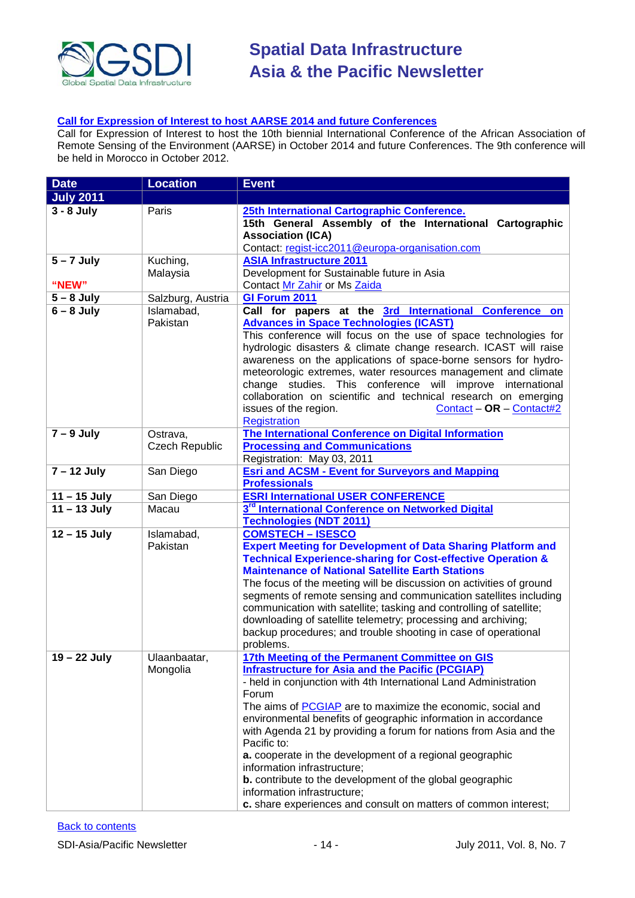

## **[Call for Expression of Interest to host AARSE 2014 and future Conferences](http://lists.gsdi.org/pipermail/sdi-africa/2010-November/001135.html)**

Call for Expression of Interest to host the 10th biennial International Conference of the African Association of Remote Sensing of the Environment (AARSE) in October 2014 and future Conferences. The 9th conference will be held in Morocco in October 2012.

| <b>Date</b>      | <b>Location</b>       | <b>Event</b>                                                                                                                 |
|------------------|-----------------------|------------------------------------------------------------------------------------------------------------------------------|
| <b>July 2011</b> |                       |                                                                                                                              |
| $3 - 8$ July     | Paris                 | 25th International Cartographic Conference.                                                                                  |
|                  |                       | 15th General Assembly of the International Cartographic                                                                      |
|                  |                       | <b>Association (ICA)</b>                                                                                                     |
|                  |                       | Contact: regist-icc2011@europa-organisation.com                                                                              |
| $5 - 7$ July     | Kuching,              | <b>ASIA Infrastructure 2011</b>                                                                                              |
|                  | Malaysia              | Development for Sustainable future in Asia                                                                                   |
| "NEW"            |                       | Contact Mr Zahir or Ms Zaida                                                                                                 |
| $5 - 8$ July     | Salzburg, Austria     | GI Forum 2011                                                                                                                |
| $6 - 8$ July     | Islamabad,            | Call for papers at the 3rd International Conference on                                                                       |
|                  | Pakistan              | <b>Advances in Space Technologies (ICAST)</b>                                                                                |
|                  |                       | This conference will focus on the use of space technologies for                                                              |
|                  |                       | hydrologic disasters & climate change research. ICAST will raise                                                             |
|                  |                       | awareness on the applications of space-borne sensors for hydro-                                                              |
|                  |                       | meteorologic extremes, water resources management and climate                                                                |
|                  |                       | change studies. This conference will improve international<br>collaboration on scientific and technical research on emerging |
|                  |                       | $Content - OR - Contact \#2$<br>issues of the region.                                                                        |
|                  |                       | <b>Registration</b>                                                                                                          |
| $7 - 9$ July     | Ostrava,              | The International Conference on Digital Information                                                                          |
|                  | <b>Czech Republic</b> | <b>Processing and Communications</b>                                                                                         |
|                  |                       | Registration: May 03, 2011                                                                                                   |
| $7 - 12$ July    | San Diego             | <b>Esri and ACSM - Event for Surveyors and Mapping</b>                                                                       |
|                  |                       | <b>Professionals</b>                                                                                                         |
| $11 - 15$ July   | San Diego             | <b>ESRI International USER CONFERENCE</b>                                                                                    |
| $11 - 13$ July   | Macau                 | 3 <sup>rd</sup> International Conference on Networked Digital                                                                |
|                  |                       | <b>Technologies (NDT 2011)</b>                                                                                               |
| $12 - 15$ July   | Islamabad,            | <b>COMSTECH - ISESCO</b>                                                                                                     |
|                  | Pakistan              | <b>Expert Meeting for Development of Data Sharing Platform and</b>                                                           |
|                  |                       | <b>Technical Experience-sharing for Cost-effective Operation &amp;</b>                                                       |
|                  |                       | <b>Maintenance of National Satellite Earth Stations</b>                                                                      |
|                  |                       | The focus of the meeting will be discussion on activities of ground                                                          |
|                  |                       | segments of remote sensing and communication satellites including                                                            |
|                  |                       | communication with satellite; tasking and controlling of satellite;                                                          |
|                  |                       | downloading of satellite telemetry; processing and archiving;                                                                |
|                  |                       | backup procedures; and trouble shooting in case of operational<br>problems.                                                  |
| 19 - 22 July     | Ulaanbaatar,          | 17th Meeting of the Permanent Committee on GIS                                                                               |
|                  | Mongolia              | <b>Infrastructure for Asia and the Pacific (PCGIAP)</b>                                                                      |
|                  |                       | - held in conjunction with 4th International Land Administration                                                             |
|                  |                       | Forum                                                                                                                        |
|                  |                       | The aims of <b>PCGIAP</b> are to maximize the economic, social and                                                           |
|                  |                       | environmental benefits of geographic information in accordance                                                               |
|                  |                       | with Agenda 21 by providing a forum for nations from Asia and the                                                            |
|                  |                       | Pacific to:                                                                                                                  |
|                  |                       | a. cooperate in the development of a regional geographic                                                                     |
|                  |                       | information infrastructure;                                                                                                  |
|                  |                       | <b>b.</b> contribute to the development of the global geographic                                                             |
|                  |                       | information infrastructure;                                                                                                  |
|                  |                       | c. share experiences and consult on matters of common interest;                                                              |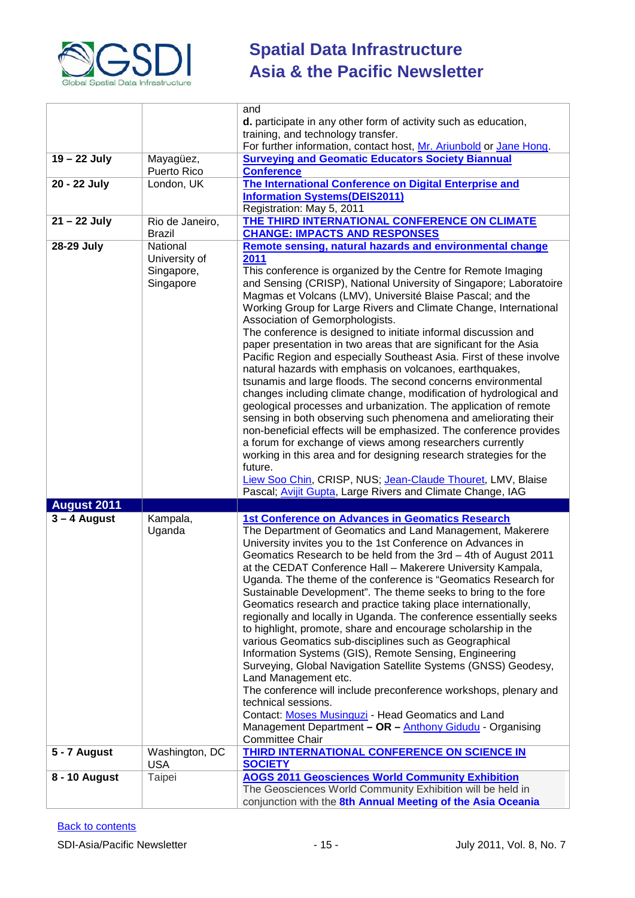

|                |                              | and                                                                                                                                 |  |
|----------------|------------------------------|-------------------------------------------------------------------------------------------------------------------------------------|--|
|                |                              | d. participate in any other form of activity such as education,                                                                     |  |
|                |                              | training, and technology transfer.<br>For further information, contact host, Mr. Ariunbold or Jane Hong.                            |  |
| 19 - 22 July   | Mayagüez,                    | <b>Surveying and Geomatic Educators Society Biannual</b>                                                                            |  |
|                | Puerto Rico                  | <b>Conference</b>                                                                                                                   |  |
| $20 - 22$ July | London, UK                   | The International Conference on Digital Enterprise and                                                                              |  |
|                |                              | <b>Information Systems(DEIS2011)</b>                                                                                                |  |
|                |                              | Registration: May 5, 2011                                                                                                           |  |
| 21 - 22 July   | Rio de Janeiro,              | THE THIRD INTERNATIONAL CONFERENCE ON CLIMATE                                                                                       |  |
|                | Brazil                       | <b>CHANGE: IMPACTS AND RESPONSES</b>                                                                                                |  |
| 28-29 July     | National                     | Remote sensing, natural hazards and environmental change                                                                            |  |
|                | University of                | 2011                                                                                                                                |  |
|                | Singapore,<br>Singapore      | This conference is organized by the Centre for Remote Imaging<br>and Sensing (CRISP), National University of Singapore; Laboratoire |  |
|                |                              | Magmas et Volcans (LMV), Université Blaise Pascal; and the                                                                          |  |
|                |                              | Working Group for Large Rivers and Climate Change, International                                                                    |  |
|                |                              | Association of Gemorphologists.                                                                                                     |  |
|                |                              | The conference is designed to initiate informal discussion and                                                                      |  |
|                |                              | paper presentation in two areas that are significant for the Asia                                                                   |  |
|                |                              | Pacific Region and especially Southeast Asia. First of these involve                                                                |  |
|                |                              | natural hazards with emphasis on volcanoes, earthquakes,                                                                            |  |
|                |                              | tsunamis and large floods. The second concerns environmental<br>changes including climate change, modification of hydrological and  |  |
|                |                              | geological processes and urbanization. The application of remote                                                                    |  |
|                |                              | sensing in both observing such phenomena and ameliorating their                                                                     |  |
|                |                              | non-beneficial effects will be emphasized. The conference provides                                                                  |  |
|                |                              | a forum for exchange of views among researchers currently                                                                           |  |
|                |                              | working in this area and for designing research strategies for the                                                                  |  |
|                |                              |                                                                                                                                     |  |
|                |                              | future.                                                                                                                             |  |
|                |                              | Liew Soo Chin, CRISP, NUS; Jean-Claude Thouret, LMV, Blaise                                                                         |  |
|                |                              | Pascal; Avijit Gupta, Large Rivers and Climate Change, IAG                                                                          |  |
| August 2011    |                              |                                                                                                                                     |  |
| $3 - 4$ August | Kampala,                     | <b>1st Conference on Advances in Geomatics Research</b>                                                                             |  |
|                | Uganda                       | The Department of Geomatics and Land Management, Makerere<br>University invites you to the 1st Conference on Advances in            |  |
|                |                              | Geomatics Research to be held from the 3rd - 4th of August 2011                                                                     |  |
|                |                              | at the CEDAT Conference Hall - Makerere University Kampala,                                                                         |  |
|                |                              | Uganda. The theme of the conference is "Geomatics Research for                                                                      |  |
|                |                              | Sustainable Development". The theme seeks to bring to the fore                                                                      |  |
|                |                              | Geomatics research and practice taking place internationally,                                                                       |  |
|                |                              | regionally and locally in Uganda. The conference essentially seeks                                                                  |  |
|                |                              | to highlight, promote, share and encourage scholarship in the                                                                       |  |
|                |                              | various Geomatics sub-disciplines such as Geographical<br>Information Systems (GIS), Remote Sensing, Engineering                    |  |
|                |                              | Surveying, Global Navigation Satellite Systems (GNSS) Geodesy,                                                                      |  |
|                |                              | Land Management etc.                                                                                                                |  |
|                |                              | The conference will include preconference workshops, plenary and                                                                    |  |
|                |                              | technical sessions.                                                                                                                 |  |
|                |                              | Contact: Moses Musinguzi - Head Geomatics and Land                                                                                  |  |
|                |                              | Management Department - OR - Anthony Gidudu - Organising                                                                            |  |
| 5 - 7 August   |                              | <b>Committee Chair</b><br>THIRD INTERNATIONAL CONFERENCE ON SCIENCE IN                                                              |  |
|                | Washington, DC<br><b>USA</b> | <b>SOCIETY</b>                                                                                                                      |  |
| 8 - 10 August  | Taipei                       | <b>AOGS 2011 Geosciences World Community Exhibition</b>                                                                             |  |
|                |                              | The Geosciences World Community Exhibition will be held in<br>conjunction with the 8th Annual Meeting of the Asia Oceania           |  |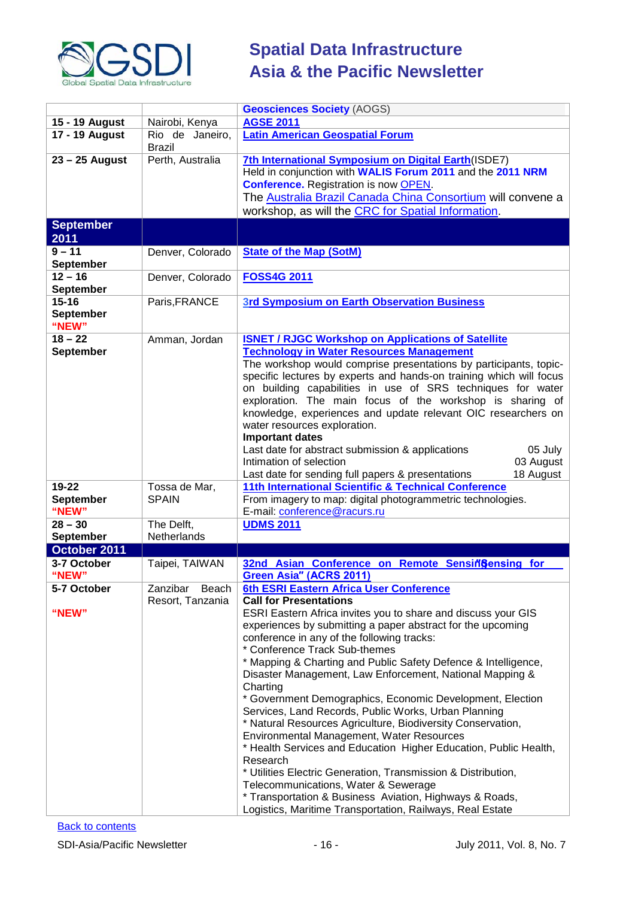

|                  |                   | <b>Geosciences Society (AOGS)</b>                                   |  |
|------------------|-------------------|---------------------------------------------------------------------|--|
|                  |                   | <b>AGSE 2011</b>                                                    |  |
| 15 - 19 August   | Nairobi, Kenya    | <b>Latin American Geospatial Forum</b>                              |  |
| 17 - 19 August   | Rio de Janeiro,   |                                                                     |  |
|                  | <b>Brazil</b>     |                                                                     |  |
| $23 - 25$ August | Perth, Australia  | 7th International Symposium on Digital Earth(ISDE7)                 |  |
|                  |                   | Held in conjunction with WALIS Forum 2011 and the 2011 NRM          |  |
|                  |                   | <b>Conference.</b> Registration is now <b>OPEN</b> .                |  |
|                  |                   | The Australia Brazil Canada China Consortium will convene a         |  |
|                  |                   | workshop, as will the CRC for Spatial Information.                  |  |
| <b>September</b> |                   |                                                                     |  |
| 2011             |                   |                                                                     |  |
| $9 - 11$         | Denver, Colorado  | <b>State of the Map (SotM)</b>                                      |  |
| <b>September</b> |                   |                                                                     |  |
| $12 - 16$        | Denver, Colorado  | <b>FOSS4G 2011</b>                                                  |  |
| <b>September</b> |                   |                                                                     |  |
| $15 - 16$        | Paris, FRANCE     | <b>3rd Symposium on Earth Observation Business</b>                  |  |
| <b>September</b> |                   |                                                                     |  |
| "NEW"            |                   |                                                                     |  |
| $18 - 22$        |                   | <b>ISNET / RJGC Workshop on Applications of Satellite</b>           |  |
|                  | Amman, Jordan     | <b>Technology in Water Resources Management</b>                     |  |
| <b>September</b> |                   |                                                                     |  |
|                  |                   | The workshop would comprise presentations by participants, topic-   |  |
|                  |                   | specific lectures by experts and hands-on training which will focus |  |
|                  |                   | on building capabilities in use of SRS techniques for water         |  |
|                  |                   | exploration. The main focus of the workshop is sharing of           |  |
|                  |                   | knowledge, experiences and update relevant OIC researchers on       |  |
|                  |                   | water resources exploration.                                        |  |
|                  |                   | <b>Important dates</b>                                              |  |
|                  |                   | Last date for abstract submission & applications<br>05 July         |  |
|                  |                   | Intimation of selection<br>03 August                                |  |
|                  |                   | Last date for sending full papers & presentations<br>18 August      |  |
| $19 - 22$        | Tossa de Mar,     | 11th International Scientific & Technical Conference                |  |
| <b>September</b> | <b>SPAIN</b>      | From imagery to map: digital photogrammetric technologies.          |  |
| "NEW"            |                   | E-mail: conference@racurs.ru                                        |  |
| $28 - 30$        | The Delft,        | <b>UDMS 2011</b>                                                    |  |
| September        | Netherlands       |                                                                     |  |
| October 2011     |                   |                                                                     |  |
| 3-7 October      | Taipei, TAIWAN    | 32nd Asian Conference on Remote Sensingensing for                   |  |
| "NEW"            |                   | Green Asia" (ACRS 2011)                                             |  |
| 5-7 October      | Zanzibar<br>Beach | 6th ESRI Eastern Africa User Conference                             |  |
|                  | Resort, Tanzania  | <b>Call for Presentations</b>                                       |  |
| "NEW"            |                   | ESRI Eastern Africa invites you to share and discuss your GIS       |  |
|                  |                   | experiences by submitting a paper abstract for the upcoming         |  |
|                  |                   | conference in any of the following tracks:                          |  |
|                  |                   | * Conference Track Sub-themes                                       |  |
|                  |                   | * Mapping & Charting and Public Safety Defence & Intelligence,      |  |
|                  |                   | Disaster Management, Law Enforcement, National Mapping &            |  |
|                  |                   | Charting                                                            |  |
|                  |                   | * Government Demographics, Economic Development, Election           |  |
|                  |                   | Services, Land Records, Public Works, Urban Planning                |  |
|                  |                   | * Natural Resources Agriculture, Biodiversity Conservation,         |  |
|                  |                   | Environmental Management, Water Resources                           |  |
|                  |                   |                                                                     |  |
|                  |                   | * Health Services and Education Higher Education, Public Health,    |  |
|                  |                   | Research                                                            |  |
|                  |                   | * Utilities Electric Generation, Transmission & Distribution,       |  |
|                  |                   | Telecommunications, Water & Sewerage                                |  |
|                  |                   | * Transportation & Business Aviation, Highways & Roads,             |  |
|                  |                   | Logistics, Maritime Transportation, Railways, Real Estate           |  |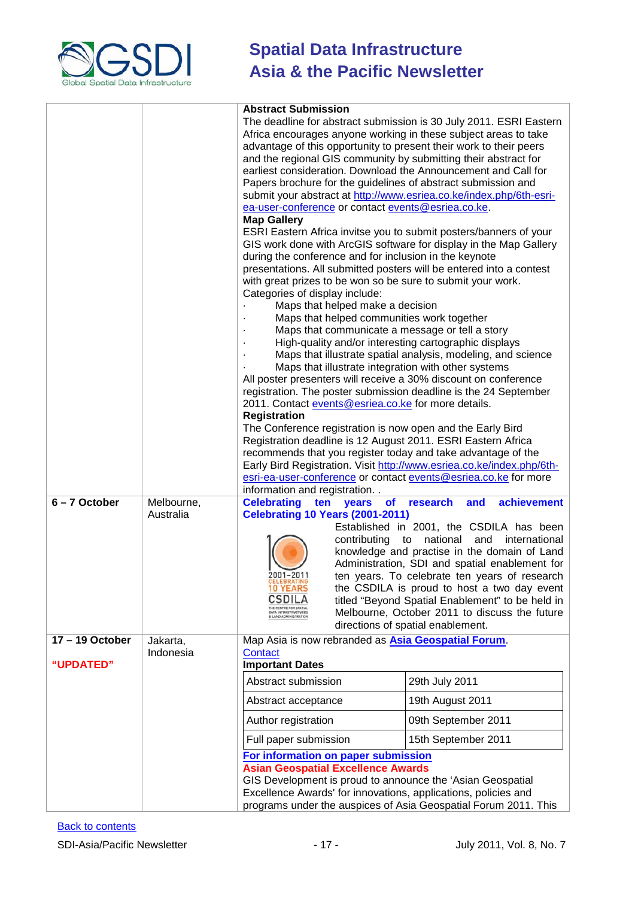

|                 |                         | <b>Abstract Submission</b><br>The deadline for abstract submission is 30 July 2011. ESRI Eastern<br>Africa encourages anyone working in these subject areas to take<br>advantage of this opportunity to present their work to their peers<br>and the regional GIS community by submitting their abstract for<br>earliest consideration. Download the Announcement and Call for<br>Papers brochure for the guidelines of abstract submission and<br>submit your abstract at http://www.esriea.co.ke/index.php/6th-esri-<br>ea-user-conference or contact events@esriea.co.ke.<br><b>Map Gallery</b><br>ESRI Eastern Africa invitse you to submit posters/banners of your<br>GIS work done with ArcGIS software for display in the Map Gallery<br>during the conference and for inclusion in the keynote<br>presentations. All submitted posters will be entered into a contest<br>with great prizes to be won so be sure to submit your work.<br>Categories of display include:<br>Maps that helped make a decision<br>Maps that helped communities work together<br>Maps that communicate a message or tell a story<br>High-quality and/or interesting cartographic displays<br>Maps that illustrate integration with other systems<br>All poster presenters will receive a 30% discount on conference<br>registration. The poster submission deadline is the 24 September<br>2011. Contact events@esriea.co.ke for more details.<br><b>Registration</b><br>The Conference registration is now open and the Early Bird<br>Registration deadline is 12 August 2011. ESRI Eastern Africa<br>recommends that you register today and take advantage of the<br>Early Bird Registration. Visit http://www.esriea.co.ke/index.php/6th-<br>esri-ea-user-conference or contact events@esriea.co.ke for more<br>information and registration | Maps that illustrate spatial analysis, modeling, and science                                                                                                                                                                                                                                                                                                                                                                                               |
|-----------------|-------------------------|------------------------------------------------------------------------------------------------------------------------------------------------------------------------------------------------------------------------------------------------------------------------------------------------------------------------------------------------------------------------------------------------------------------------------------------------------------------------------------------------------------------------------------------------------------------------------------------------------------------------------------------------------------------------------------------------------------------------------------------------------------------------------------------------------------------------------------------------------------------------------------------------------------------------------------------------------------------------------------------------------------------------------------------------------------------------------------------------------------------------------------------------------------------------------------------------------------------------------------------------------------------------------------------------------------------------------------------------------------------------------------------------------------------------------------------------------------------------------------------------------------------------------------------------------------------------------------------------------------------------------------------------------------------------------------------------------------------------------------------------------------------------------------------------------------------------------------|------------------------------------------------------------------------------------------------------------------------------------------------------------------------------------------------------------------------------------------------------------------------------------------------------------------------------------------------------------------------------------------------------------------------------------------------------------|
| $6 - 7$ October | Melbourne,<br>Australia | <b>Celebrating</b><br>ten<br>years<br><b>of</b><br><b>Celebrating 10 Years (2001-2011)</b><br>contributing<br>2001-2011<br><b>CELEBRATING</b><br>CSDILA<br>HE CENTRE FOR SPATIA<br>DATA INFRASTRUCTURES                                                                                                                                                                                                                                                                                                                                                                                                                                                                                                                                                                                                                                                                                                                                                                                                                                                                                                                                                                                                                                                                                                                                                                                                                                                                                                                                                                                                                                                                                                                                                                                                                            | achievement<br>research<br>and<br>Established in 2001, the CSDILA has been<br>to national and<br>international<br>knowledge and practise in the domain of Land<br>Administration, SDI and spatial enablement for<br>ten years. To celebrate ten years of research<br>the CSDILA is proud to host a two day event<br>titled "Beyond Spatial Enablement" to be held in<br>Melbourne, October 2011 to discuss the future<br>directions of spatial enablement. |
| 17-19 October   | Jakarta,                | Map Asia is now rebranded as Asia Geospatial Forum.                                                                                                                                                                                                                                                                                                                                                                                                                                                                                                                                                                                                                                                                                                                                                                                                                                                                                                                                                                                                                                                                                                                                                                                                                                                                                                                                                                                                                                                                                                                                                                                                                                                                                                                                                                                |                                                                                                                                                                                                                                                                                                                                                                                                                                                            |
| "UPDATED"       | Indonesia               | Contact<br><b>Important Dates</b>                                                                                                                                                                                                                                                                                                                                                                                                                                                                                                                                                                                                                                                                                                                                                                                                                                                                                                                                                                                                                                                                                                                                                                                                                                                                                                                                                                                                                                                                                                                                                                                                                                                                                                                                                                                                  |                                                                                                                                                                                                                                                                                                                                                                                                                                                            |
|                 |                         | Abstract submission                                                                                                                                                                                                                                                                                                                                                                                                                                                                                                                                                                                                                                                                                                                                                                                                                                                                                                                                                                                                                                                                                                                                                                                                                                                                                                                                                                                                                                                                                                                                                                                                                                                                                                                                                                                                                | 29th July 2011                                                                                                                                                                                                                                                                                                                                                                                                                                             |
|                 |                         | Abstract acceptance                                                                                                                                                                                                                                                                                                                                                                                                                                                                                                                                                                                                                                                                                                                                                                                                                                                                                                                                                                                                                                                                                                                                                                                                                                                                                                                                                                                                                                                                                                                                                                                                                                                                                                                                                                                                                | 19th August 2011                                                                                                                                                                                                                                                                                                                                                                                                                                           |
|                 |                         | Author registration                                                                                                                                                                                                                                                                                                                                                                                                                                                                                                                                                                                                                                                                                                                                                                                                                                                                                                                                                                                                                                                                                                                                                                                                                                                                                                                                                                                                                                                                                                                                                                                                                                                                                                                                                                                                                | 09th September 2011                                                                                                                                                                                                                                                                                                                                                                                                                                        |
|                 |                         | Full paper submission                                                                                                                                                                                                                                                                                                                                                                                                                                                                                                                                                                                                                                                                                                                                                                                                                                                                                                                                                                                                                                                                                                                                                                                                                                                                                                                                                                                                                                                                                                                                                                                                                                                                                                                                                                                                              | 15th September 2011                                                                                                                                                                                                                                                                                                                                                                                                                                        |
|                 |                         | For information on paper submission<br><b>Asian Geospatial Excellence Awards</b>                                                                                                                                                                                                                                                                                                                                                                                                                                                                                                                                                                                                                                                                                                                                                                                                                                                                                                                                                                                                                                                                                                                                                                                                                                                                                                                                                                                                                                                                                                                                                                                                                                                                                                                                                   |                                                                                                                                                                                                                                                                                                                                                                                                                                                            |
|                 |                         | GIS Development is proud to announce the 'Asian Geospatial                                                                                                                                                                                                                                                                                                                                                                                                                                                                                                                                                                                                                                                                                                                                                                                                                                                                                                                                                                                                                                                                                                                                                                                                                                                                                                                                                                                                                                                                                                                                                                                                                                                                                                                                                                         |                                                                                                                                                                                                                                                                                                                                                                                                                                                            |
|                 |                         | Excellence Awards' for innovations, applications, policies and                                                                                                                                                                                                                                                                                                                                                                                                                                                                                                                                                                                                                                                                                                                                                                                                                                                                                                                                                                                                                                                                                                                                                                                                                                                                                                                                                                                                                                                                                                                                                                                                                                                                                                                                                                     |                                                                                                                                                                                                                                                                                                                                                                                                                                                            |
|                 |                         | programs under the auspices of Asia Geospatial Forum 2011. This                                                                                                                                                                                                                                                                                                                                                                                                                                                                                                                                                                                                                                                                                                                                                                                                                                                                                                                                                                                                                                                                                                                                                                                                                                                                                                                                                                                                                                                                                                                                                                                                                                                                                                                                                                    |                                                                                                                                                                                                                                                                                                                                                                                                                                                            |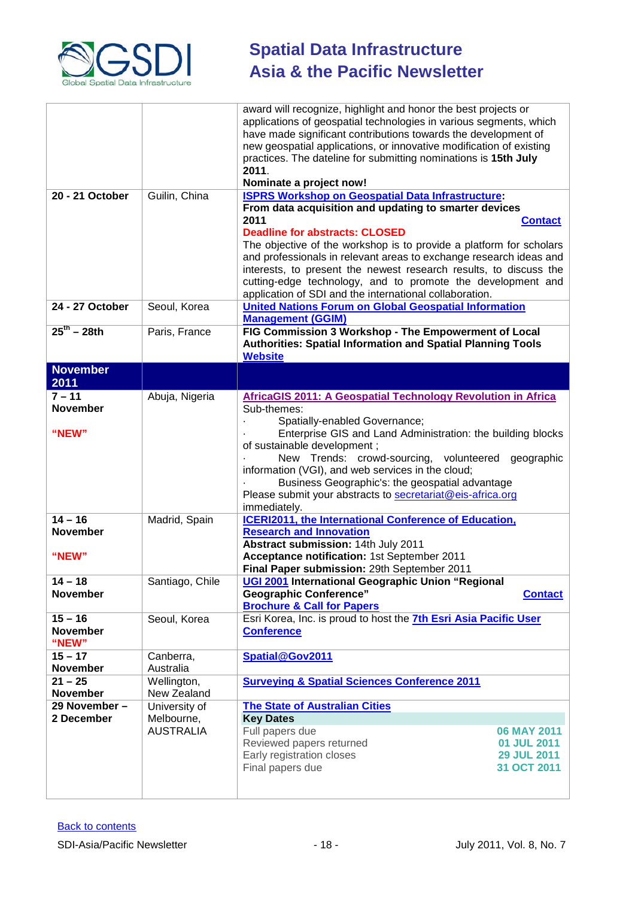

| 20 - 21 October                                                                                               | Guilin, China                                        | award will recognize, highlight and honor the best projects or<br>applications of geospatial technologies in various segments, which<br>have made significant contributions towards the development of<br>new geospatial applications, or innovative modification of existing<br>practices. The dateline for submitting nominations is 15th July<br>2011.<br>Nominate a project now!<br><b>ISPRS Workshop on Geospatial Data Infrastructure:</b>                                                                                                                                                                                                                                                                                                                                                                                                      |
|---------------------------------------------------------------------------------------------------------------|------------------------------------------------------|-------------------------------------------------------------------------------------------------------------------------------------------------------------------------------------------------------------------------------------------------------------------------------------------------------------------------------------------------------------------------------------------------------------------------------------------------------------------------------------------------------------------------------------------------------------------------------------------------------------------------------------------------------------------------------------------------------------------------------------------------------------------------------------------------------------------------------------------------------|
|                                                                                                               |                                                      | From data acquisition and updating to smarter devices<br>2011<br><b>Contact</b><br><b>Deadline for abstracts: CLOSED</b><br>The objective of the workshop is to provide a platform for scholars<br>and professionals in relevant areas to exchange research ideas and<br>interests, to present the newest research results, to discuss the<br>cutting-edge technology, and to promote the development and<br>application of SDI and the international collaboration.                                                                                                                                                                                                                                                                                                                                                                                  |
| 24 - 27 October                                                                                               | Seoul, Korea                                         | <b>United Nations Forum on Global Geospatial Information</b><br><b>Management (GGIM)</b>                                                                                                                                                                                                                                                                                                                                                                                                                                                                                                                                                                                                                                                                                                                                                              |
| $25^{th} - 28th$                                                                                              | Paris, France                                        | FIG Commission 3 Workshop - The Empowerment of Local<br><b>Authorities: Spatial Information and Spatial Planning Tools</b><br><b>Website</b>                                                                                                                                                                                                                                                                                                                                                                                                                                                                                                                                                                                                                                                                                                          |
| <b>November</b><br>2011                                                                                       |                                                      |                                                                                                                                                                                                                                                                                                                                                                                                                                                                                                                                                                                                                                                                                                                                                                                                                                                       |
| $7 - 11$<br><b>November</b><br>"NEW"<br>$14 - 16$<br><b>November</b><br>"NEW"<br>$14 - 18$<br><b>November</b> | Abuja, Nigeria<br>Madrid, Spain<br>Santiago, Chile   | <b>AfricaGIS 2011: A Geospatial Technology Revolution in Africa</b><br>Sub-themes:<br>Spatially-enabled Governance;<br>Enterprise GIS and Land Administration: the building blocks<br>of sustainable development;<br>New Trends: crowd-sourcing, volunteered geographic<br>information (VGI), and web services in the cloud;<br>Business Geographic's: the geospatial advantage<br>Please submit your abstracts to secretariat@eis-africa.org<br>immediately.<br><b>ICERI2011, the International Conference of Education,</b><br><b>Research and Innovation</b><br>Abstract submission: 14th July 2011<br>Acceptance notification: 1st September 2011<br>Final Paper submission: 29th September 2011<br>UGI 2001 International Geographic Union "Regional<br><b>Geographic Conference"</b><br><b>Contact</b><br><b>Brochure &amp; Call for Papers</b> |
| $15 - 16$<br><b>November</b><br>"NEW"                                                                         | Seoul, Korea                                         | Esri Korea, Inc. is proud to host the 7th Esri Asia Pacific User<br><b>Conference</b>                                                                                                                                                                                                                                                                                                                                                                                                                                                                                                                                                                                                                                                                                                                                                                 |
| $15 - 17$<br><b>November</b><br>$21 - 25$<br><b>November</b><br>29 November -                                 | Canberra,<br>Australia<br>Wellington,<br>New Zealand | Spatial@Gov2011<br><b>Surveying &amp; Spatial Sciences Conference 2011</b>                                                                                                                                                                                                                                                                                                                                                                                                                                                                                                                                                                                                                                                                                                                                                                            |
| 2 December                                                                                                    | University of<br>Melbourne,<br><b>AUSTRALIA</b>      | <b>The State of Australian Cities</b><br><b>Key Dates</b><br>Full papers due<br><b>06 MAY 2011</b><br>Reviewed papers returned<br>01 JUL 2011<br>Early registration closes<br><b>29 JUL 2011</b><br>31 OCT 2011<br>Final papers due                                                                                                                                                                                                                                                                                                                                                                                                                                                                                                                                                                                                                   |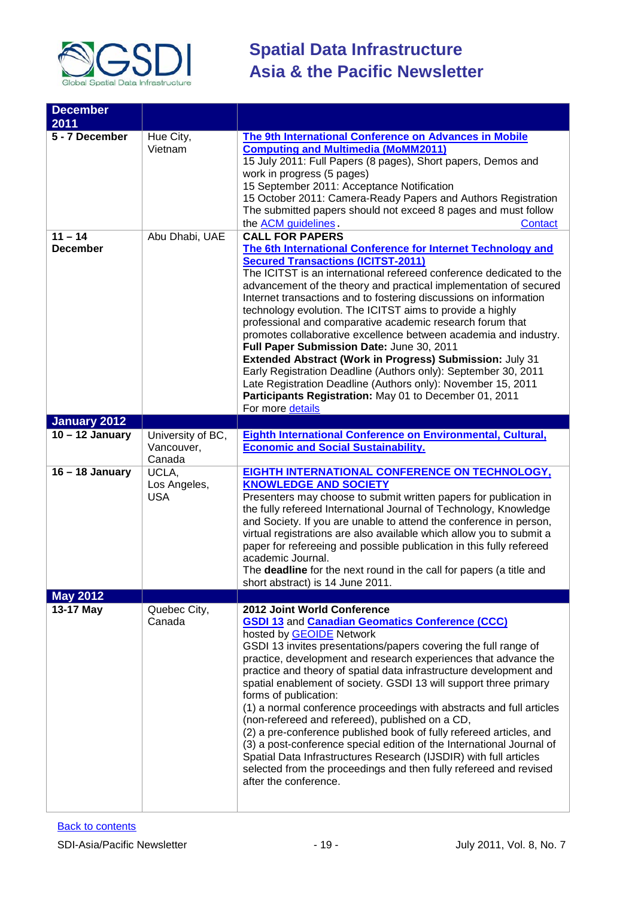

| <b>December</b>             |                                           |                                                                                                                                                                                                                                                                                                                                                                                                                                                                                                                                                                                                                                                                                                                                                                                                                                                                                  |
|-----------------------------|-------------------------------------------|----------------------------------------------------------------------------------------------------------------------------------------------------------------------------------------------------------------------------------------------------------------------------------------------------------------------------------------------------------------------------------------------------------------------------------------------------------------------------------------------------------------------------------------------------------------------------------------------------------------------------------------------------------------------------------------------------------------------------------------------------------------------------------------------------------------------------------------------------------------------------------|
| 2011                        |                                           |                                                                                                                                                                                                                                                                                                                                                                                                                                                                                                                                                                                                                                                                                                                                                                                                                                                                                  |
| 5 - 7 December<br>$11 - 14$ | Hue City,<br>Vietnam<br>Abu Dhabi, UAE    | The 9th International Conference on Advances in Mobile<br><b>Computing and Multimedia (MoMM2011)</b><br>15 July 2011: Full Papers (8 pages), Short papers, Demos and<br>work in progress (5 pages)<br>15 September 2011: Acceptance Notification<br>15 October 2011: Camera-Ready Papers and Authors Registration<br>The submitted papers should not exceed 8 pages and must follow<br>the <b>ACM</b> guidelines.<br>Contact<br><b>CALL FOR PAPERS</b>                                                                                                                                                                                                                                                                                                                                                                                                                           |
| <b>December</b>             |                                           | The 6th International Conference for Internet Technology and<br><b>Secured Transactions (ICITST-2011)</b><br>The ICITST is an international refereed conference dedicated to the<br>advancement of the theory and practical implementation of secured<br>Internet transactions and to fostering discussions on information<br>technology evolution. The ICITST aims to provide a highly<br>professional and comparative academic research forum that<br>promotes collaborative excellence between academia and industry.<br>Full Paper Submission Date: June 30, 2011<br>Extended Abstract (Work in Progress) Submission: July 31<br>Early Registration Deadline (Authors only): September 30, 2011<br>Late Registration Deadline (Authors only): November 15, 2011<br>Participants Registration: May 01 to December 01, 2011<br>For more details                                |
| January 2012                |                                           |                                                                                                                                                                                                                                                                                                                                                                                                                                                                                                                                                                                                                                                                                                                                                                                                                                                                                  |
| $10 - 12$ January           | University of BC,<br>Vancouver,<br>Canada | Eighth International Conference on Environmental, Cultural,<br><b>Economic and Social Sustainability.</b>                                                                                                                                                                                                                                                                                                                                                                                                                                                                                                                                                                                                                                                                                                                                                                        |
| $16 - 18$ January           | UCLA,<br>Los Angeles,<br><b>USA</b>       | <b>EIGHTH INTERNATIONAL CONFERENCE ON TECHNOLOGY,</b><br><b>KNOWLEDGE AND SOCIETY</b><br>Presenters may choose to submit written papers for publication in<br>the fully refereed International Journal of Technology, Knowledge<br>and Society. If you are unable to attend the conference in person,<br>virtual registrations are also available which allow you to submit a<br>paper for refereeing and possible publication in this fully refereed<br>academic Journal.<br>The deadline for the next round in the call for papers (a title and<br>short abstract) is 14 June 2011.                                                                                                                                                                                                                                                                                            |
| <b>May 2012</b>             |                                           |                                                                                                                                                                                                                                                                                                                                                                                                                                                                                                                                                                                                                                                                                                                                                                                                                                                                                  |
| 13-17 May                   | Quebec City,<br>Canada                    | 2012 Joint World Conference<br><b>GSDI 13 and Canadian Geomatics Conference (CCC)</b><br>hosted by <b>GEOIDE</b> Network<br>GSDI 13 invites presentations/papers covering the full range of<br>practice, development and research experiences that advance the<br>practice and theory of spatial data infrastructure development and<br>spatial enablement of society. GSDI 13 will support three primary<br>forms of publication:<br>(1) a normal conference proceedings with abstracts and full articles<br>(non-refereed and refereed), published on a CD,<br>(2) a pre-conference published book of fully refereed articles, and<br>(3) a post-conference special edition of the International Journal of<br>Spatial Data Infrastructures Research (IJSDIR) with full articles<br>selected from the proceedings and then fully refereed and revised<br>after the conference. |